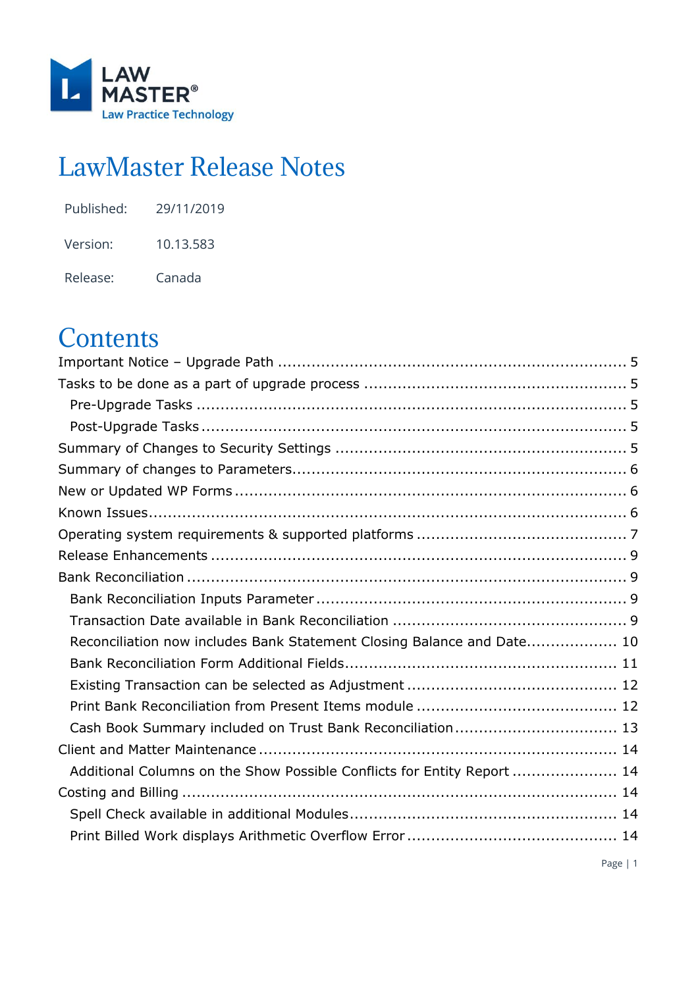

# LawMaster Release Notes

| Published: | 29/11/2019 |
|------------|------------|
| Version:   | 10.13.583  |
| Release:   | Canada     |

# **Contents**

| Reconciliation now includes Bank Statement Closing Balance and Date 10  |  |
|-------------------------------------------------------------------------|--|
|                                                                         |  |
|                                                                         |  |
|                                                                         |  |
| Cash Book Summary included on Trust Bank Reconciliation 13              |  |
|                                                                         |  |
| Additional Columns on the Show Possible Conflicts for Entity Report  14 |  |
|                                                                         |  |
|                                                                         |  |
|                                                                         |  |
|                                                                         |  |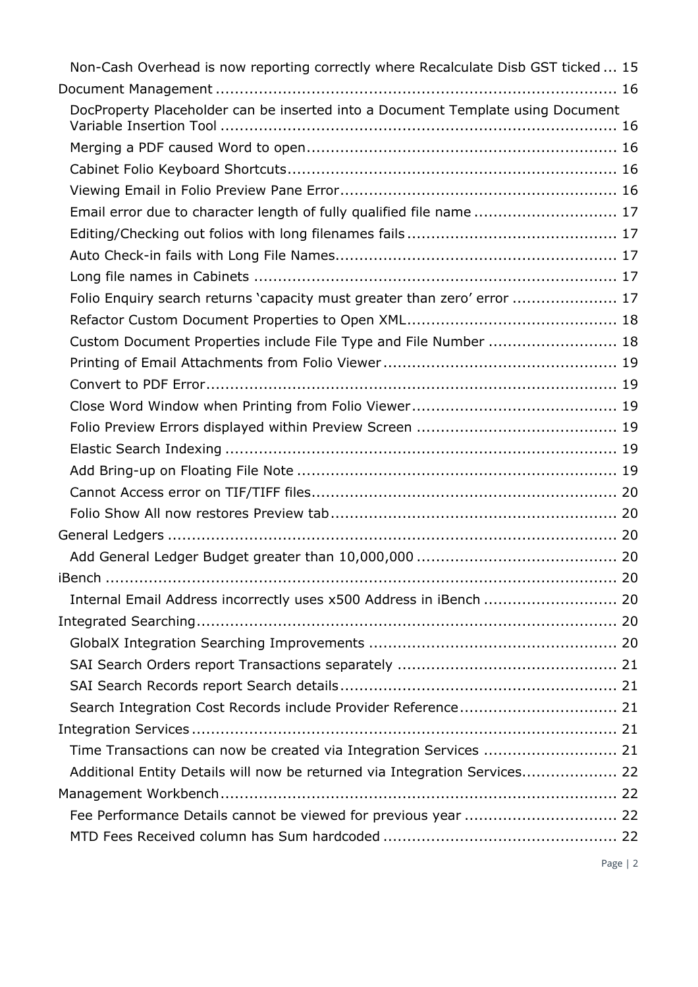| Non-Cash Overhead is now reporting correctly where Recalculate Disb GST ticked  15 |  |
|------------------------------------------------------------------------------------|--|
|                                                                                    |  |
| DocProperty Placeholder can be inserted into a Document Template using Document    |  |
|                                                                                    |  |
|                                                                                    |  |
|                                                                                    |  |
| Email error due to character length of fully qualified file name  17               |  |
|                                                                                    |  |
|                                                                                    |  |
|                                                                                    |  |
| Folio Enquiry search returns 'capacity must greater than zero' error  17           |  |
|                                                                                    |  |
| Custom Document Properties include File Type and File Number  18                   |  |
|                                                                                    |  |
|                                                                                    |  |
|                                                                                    |  |
|                                                                                    |  |
|                                                                                    |  |
|                                                                                    |  |
|                                                                                    |  |
|                                                                                    |  |
|                                                                                    |  |
|                                                                                    |  |
|                                                                                    |  |
|                                                                                    |  |
|                                                                                    |  |
|                                                                                    |  |
|                                                                                    |  |
|                                                                                    |  |
|                                                                                    |  |
|                                                                                    |  |
| Time Transactions can now be created via Integration Services  21                  |  |
| Additional Entity Details will now be returned via Integration Services 22         |  |
|                                                                                    |  |
|                                                                                    |  |
|                                                                                    |  |
|                                                                                    |  |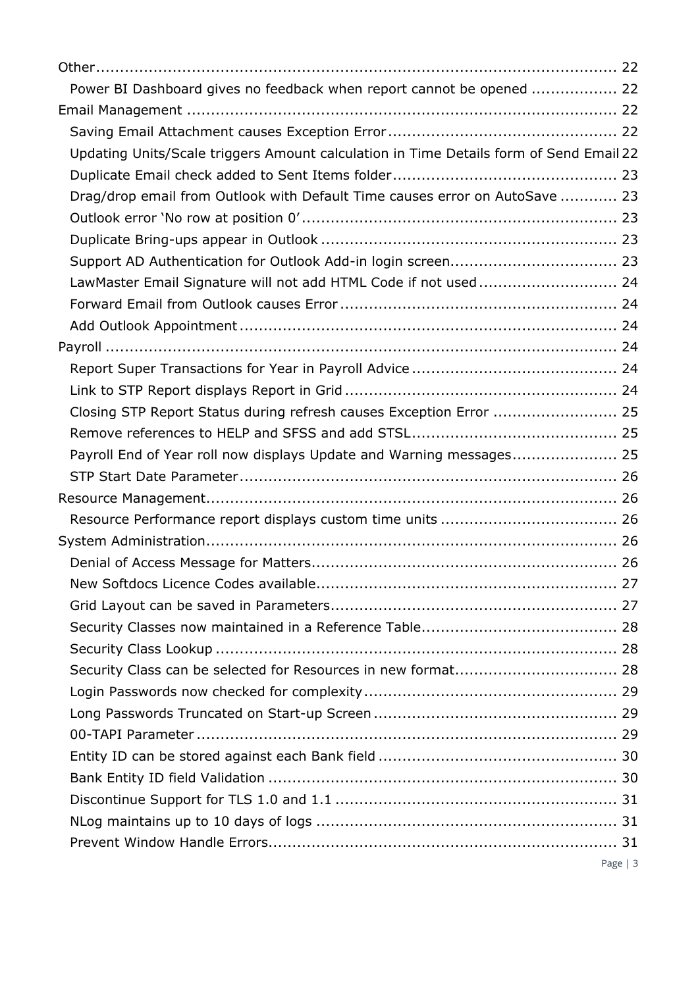| Power BI Dashboard gives no feedback when report cannot be opened  22                  |  |
|----------------------------------------------------------------------------------------|--|
|                                                                                        |  |
|                                                                                        |  |
| Updating Units/Scale triggers Amount calculation in Time Details form of Send Email 22 |  |
|                                                                                        |  |
| Drag/drop email from Outlook with Default Time causes error on AutoSave  23            |  |
|                                                                                        |  |
|                                                                                        |  |
|                                                                                        |  |
| LawMaster Email Signature will not add HTML Code if not used 24                        |  |
|                                                                                        |  |
|                                                                                        |  |
|                                                                                        |  |
|                                                                                        |  |
|                                                                                        |  |
| Closing STP Report Status during refresh causes Exception Error  25                    |  |
|                                                                                        |  |
| Payroll End of Year roll now displays Update and Warning messages 25                   |  |
|                                                                                        |  |
|                                                                                        |  |
|                                                                                        |  |
|                                                                                        |  |
|                                                                                        |  |
|                                                                                        |  |
|                                                                                        |  |
|                                                                                        |  |
|                                                                                        |  |
| Security Class can be selected for Resources in new format 28                          |  |
|                                                                                        |  |
|                                                                                        |  |
|                                                                                        |  |
|                                                                                        |  |
|                                                                                        |  |
|                                                                                        |  |
|                                                                                        |  |
|                                                                                        |  |
| Page $ 3$                                                                              |  |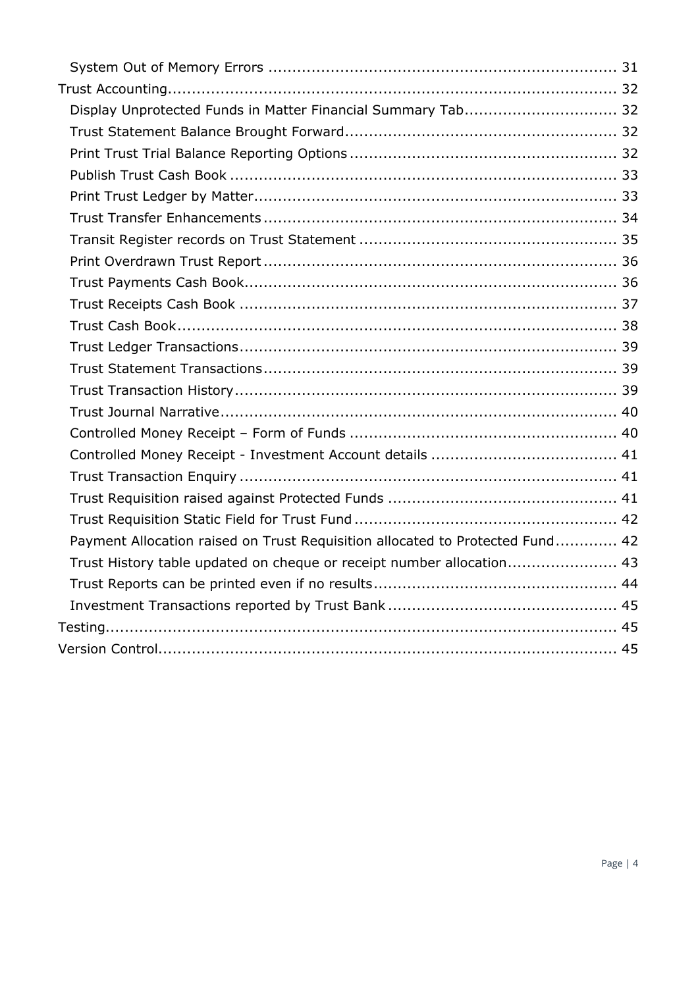| Display Unprotected Funds in Matter Financial Summary Tab 32                  |  |
|-------------------------------------------------------------------------------|--|
|                                                                               |  |
|                                                                               |  |
|                                                                               |  |
|                                                                               |  |
|                                                                               |  |
|                                                                               |  |
|                                                                               |  |
|                                                                               |  |
|                                                                               |  |
|                                                                               |  |
|                                                                               |  |
|                                                                               |  |
|                                                                               |  |
|                                                                               |  |
|                                                                               |  |
|                                                                               |  |
|                                                                               |  |
|                                                                               |  |
|                                                                               |  |
| Payment Allocation raised on Trust Requisition allocated to Protected Fund 42 |  |
| Trust History table updated on cheque or receipt number allocation 43         |  |
|                                                                               |  |
|                                                                               |  |
|                                                                               |  |
|                                                                               |  |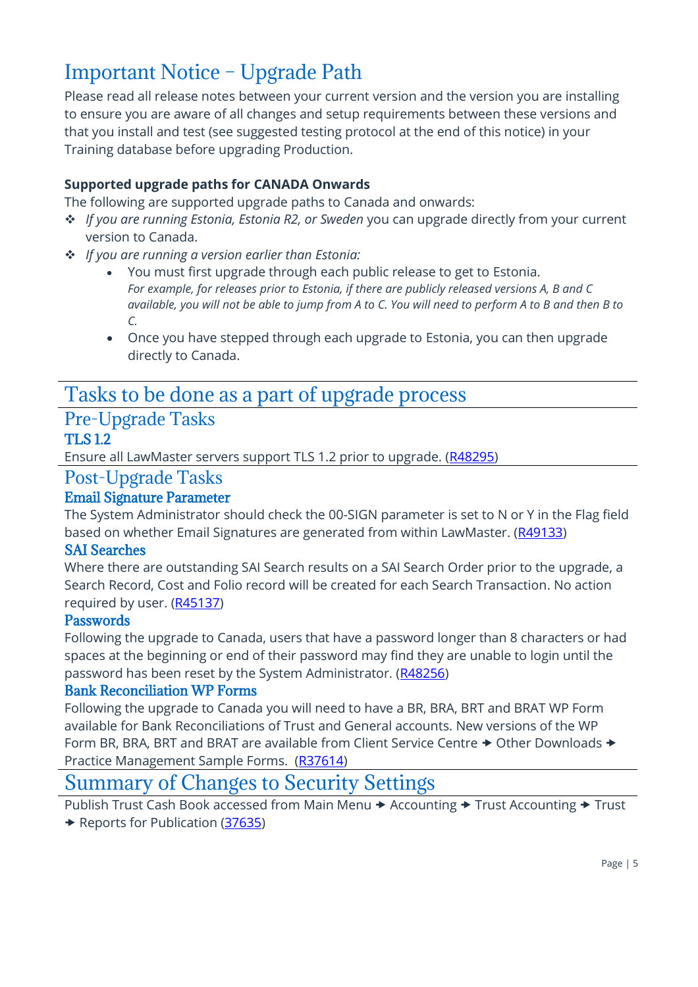# <span id="page-4-0"></span>Important Notice – Upgrade Path

Please read all release notes between your current version and the version you are installing to ensure you are aware of all changes and setup requirements between these versions and that you install and test (see suggested testing protocol at the end of this notice) in your Training database before upgrading Production.

### **Supported upgrade paths for CANADA Onwards**

The following are supported upgrade paths to Canada and onwards:

- ❖ *If you are running Estonia, Estonia R2, or Sweden* you can upgrade directly from your current version to Canada.
- ❖ *If you are running a version earlier than Estonia:*
	- You must first upgrade through each public release to get to Estonia. *For example, for releases prior to Estonia, if there are publicly released versions A, B and C available, you will not be able to jump from A to C. You will need to perform A to B and then B to C.*
	- Once you have stepped through each upgrade to Estonia, you can then upgrade directly to Canada.

### <span id="page-4-1"></span>Tasks to be done as a part of upgrade process

### <span id="page-4-2"></span>Pre-Upgrade Tasks TLS 1.2

Ensure all LawMaster servers support TLS 1.2 prior to upgrade. [\(R48295\)](#page-30-0)

### <span id="page-4-3"></span>Post-Upgrade Tasks

### Email Signature Parameter

The System Administrator should check the 00-SIGN parameter is set to N or Y in the Flag field based on whether Email Signatures are generated from within LawMaster. [\(R49133\)](#page-23-0)

### SAI Searches

Where there are outstanding SAI Search results on a SAI Search Order prior to the upgrade, a Search Record, Cost and Folio record will be created for each Search Transaction. No action required by user. [\(R45137\)](#page-20-0)

### Passwords

Following the upgrade to Canada, users that have a password longer than 8 characters or had spaces at the beginning or end of their password may find they are unable to login until the password has been reset by the System Administrator. [\(R48256\)](#page-28-1)

### Bank Reconciliation WP Forms

Following the upgrade to Canada you will need to have a BR, BRA, BRT and BRAT WP Form available for Bank Reconciliations of Trust and General accounts. New versions of the WP Form BR, BRA, BRT and BRAT are available from Client Service Centre  $\rightarrow$  Other Downloads  $\rightarrow$ Practice Management Sample Forms. [\(R37614\)](#page-10-0)

### <span id="page-4-4"></span>Summary of Changes to Security Settings

Publish Trust Cash Book accessed from Main Menu  $\rightarrow$  Accounting  $\rightarrow$  Trust Accounting  $\rightarrow$  Trust ◆ Reports for Publication [\(37635\)](#page-32-0)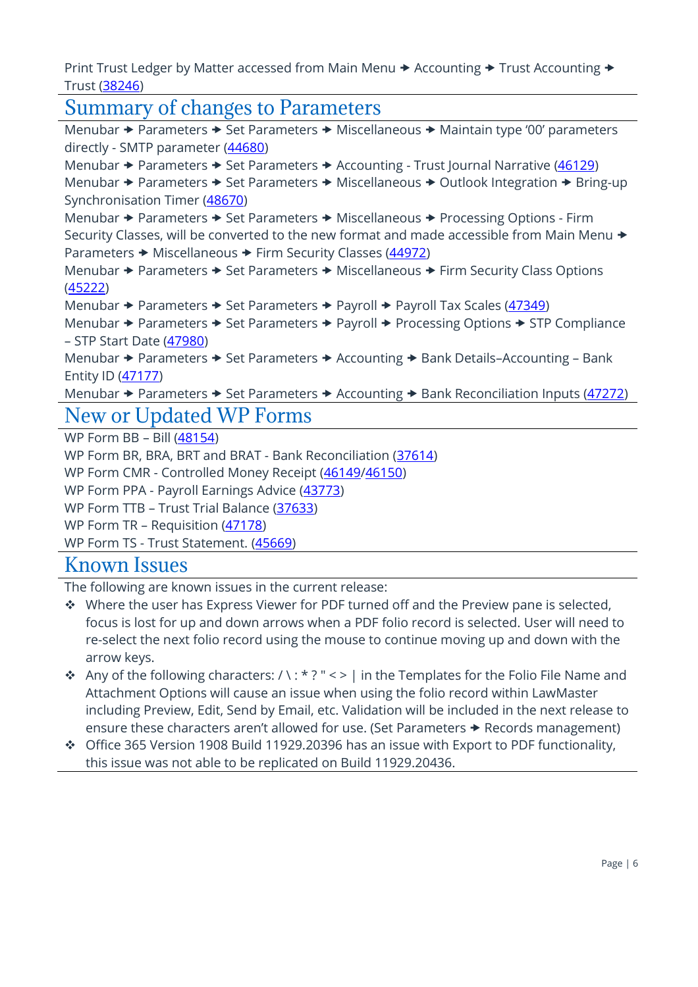Print Trust Ledger by Matter accessed from Main Menu  $\rightarrow$  Accounting  $\rightarrow$  Trust Accounting  $\rightarrow$ Trust [\(38246\)](#page-32-1)

# <span id="page-5-0"></span>Summary of changes to Parameters

Menubar  $\rightarrow$  Parameters  $\rightarrow$  Set Parameters  $\rightarrow$  Miscellaneous  $\rightarrow$  Maintain type '00' parameters directly - SMTP parameter [\(44680\)](#page-19-5) Menubar  $\rightarrow$  Parameters  $\rightarrow$  Set Parameters  $\rightarrow$  Accounting - Trust Journal Narrative [\(46129\)](#page-39-0) Menubar  $\rightarrow$  Parameters  $\rightarrow$  Set Parameters  $\rightarrow$  Miscellaneous  $\rightarrow$  Outlook Integration  $\rightarrow$  Bring-up Synchronisation Timer [\(48670\)](#page-22-3) Menubar  $\rightarrow$  Parameters  $\rightarrow$  Set Parameters  $\rightarrow$  Miscellaneous  $\rightarrow$  Processing Options - Firm Security Classes, will be converted to the new format and made accessible from Main Menu  $\rightarrow$ Parameters → Miscellaneous → Firm Security Classes [\(44972\)](#page-27-0) Menubar  $\rightarrow$  Parameters  $\rightarrow$  Set Parameters  $\rightarrow$  Miscellaneous  $\rightarrow$  Firm Security Class Options [\(45222\)](#page-25-4) Menubar  $\rightarrow$  Parameters  $\rightarrow$  Set Parameters  $\rightarrow$  Payroll  $\rightarrow$  Payroll Tax Scales [\(47349\)](#page-24-1) Menubar  $\rightarrow$  Parameters  $\rightarrow$  Set Parameters  $\rightarrow$  Payroll  $\rightarrow$  Processing Options  $\rightarrow$  STP Compliance – STP Start Date [\(47980\)](#page-25-0) Menubar → Parameters → Set Parameters → Accounting → Bank Details–Accounting – Bank Entity ID [\(47177\)](#page-33-0) Menubar  $\rightarrow$  Parameters  $\rightarrow$  Set Parameters  $\rightarrow$  Accounting  $\rightarrow$  Bank Reconciliation Inputs (47272) New or Updated WP Forms WP Form BB – Bill [\(48154\)](#page-14-0) WP Form BR, BRA, BRT and BRAT - Bank Reconciliation [\(37614\)](#page-10-0)

<span id="page-5-1"></span>WP Form CMR - Controlled Money Receipt [\(46149](#page-39-1)[/46150\)](#page-40-0)

WP Form PPA - Payroll Earnings Advice [\(43773\)](#page-23-4)

WP Form TTB – Trust Trial Balance [\(37633\)](#page-31-3)

WP Form TR – Requisition [\(47178\)](#page-41-0)

WP Form TS - Trust Statement. [\(45669\)](#page-34-0)

### <span id="page-5-2"></span>Known Issues

The following are known issues in the current release:

- ❖ Where the user has Express Viewer for PDF turned off and the Preview pane is selected, focus is lost for up and down arrows when a PDF folio record is selected. User will need to re-select the next folio record using the mouse to continue moving up and down with the arrow keys.
- ◆ Any of the following characters: / \: \* ? " < > | in the Templates for the Folio File Name and Attachment Options will cause an issue when using the folio record within LawMaster including Preview, Edit, Send by Email, etc. Validation will be included in the next release to ensure these characters aren't allowed for use. (Set Parameters  $\rightarrow$  Records management)
- ❖ Office 365 Version 1908 Build 11929.20396 has an issue with Export to PDF functionality, this issue was not able to be replicated on Build 11929.20436.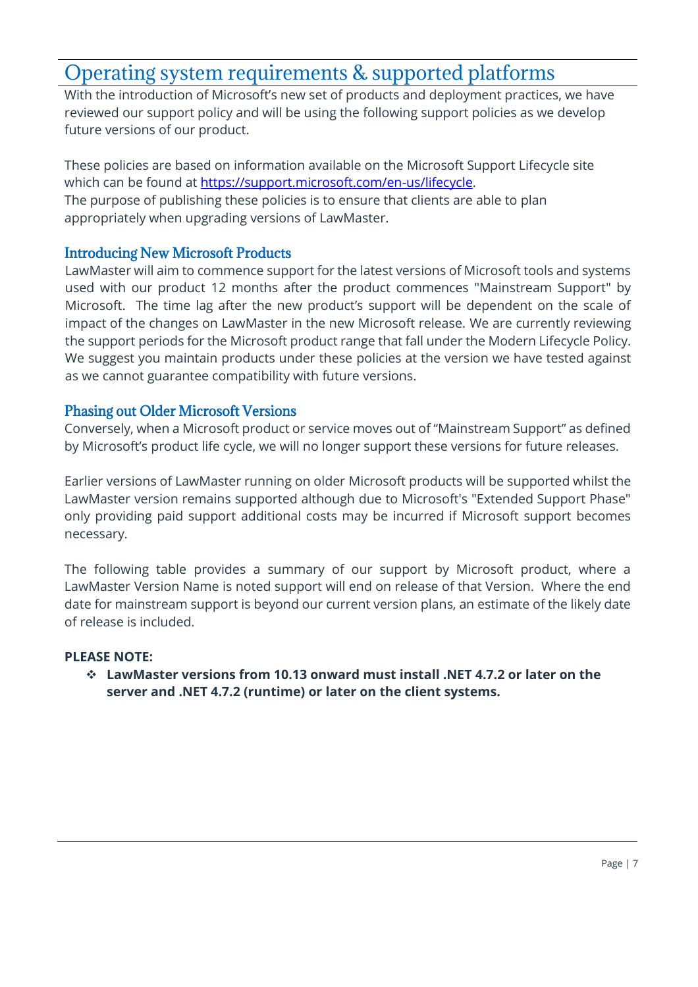# <span id="page-6-0"></span>Operating system requirements & supported platforms

With the introduction of Microsoft's new set of products and deployment practices, we have reviewed our support policy and will be using the following support policies as we develop future versions of our product.

These policies are based on information available on the Microsoft Support Lifecycle site which can be found at [https://support.microsoft.com/en-us/lifecycle.](https://support.microsoft.com/en-us/lifecycle) The purpose of publishing these policies is to ensure that clients are able to plan appropriately when upgrading versions of LawMaster.

### Introducing New Microsoft Products

LawMaster will aim to commence support for the latest versions of Microsoft tools and systems used with our product 12 months after the product commences "Mainstream Support" by Microsoft. The time lag after the new product's support will be dependent on the scale of impact of the changes on LawMaster in the new Microsoft release. We are currently reviewing the support periods for the Microsoft product range that fall under the Modern Lifecycle Policy. We suggest you maintain products under these policies at the version we have tested against as we cannot guarantee compatibility with future versions.

### Phasing out Older Microsoft Versions

Conversely, when a Microsoft product or service moves out of "Mainstream Support" as defined by Microsoft's product life cycle, we will no longer support these versions for future releases.

Earlier versions of LawMaster running on older Microsoft products will be supported whilst the LawMaster version remains supported although due to Microsoft's "Extended Support Phase" only providing paid support additional costs may be incurred if Microsoft support becomes necessary.

The following table provides a summary of our support by Microsoft product, where a LawMaster Version Name is noted support will end on release of that Version. Where the end date for mainstream support is beyond our current version plans, an estimate of the likely date of release is included.

### **PLEASE NOTE:**

❖ **LawMaster versions from 10.13 onward must install .NET 4.7.2 or later on the server and .NET 4.7.2 (runtime) or later on the client systems.**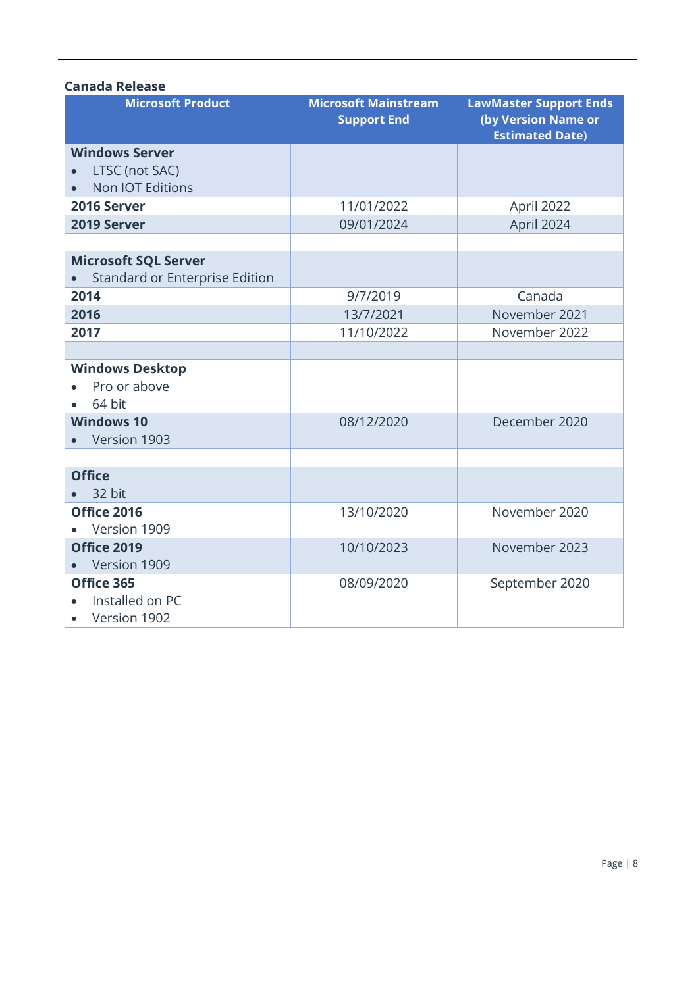### **Canada Release**

| <b>Microsoft Product</b>                    | <b>Microsoft Mainstream</b><br><b>Support End</b> | <b>LawMaster Support Ends</b><br>(by Version Name or<br><b>Estimated Date)</b> |
|---------------------------------------------|---------------------------------------------------|--------------------------------------------------------------------------------|
| <b>Windows Server</b>                       |                                                   |                                                                                |
| LTSC (not SAC)                              |                                                   |                                                                                |
| Non IOT Editions                            |                                                   |                                                                                |
| 2016 Server                                 | 11/01/2022                                        | April 2022                                                                     |
| 2019 Server                                 | 09/01/2024                                        | April 2024                                                                     |
|                                             |                                                   |                                                                                |
| <b>Microsoft SQL Server</b>                 |                                                   |                                                                                |
| Standard or Enterprise Edition<br>$\bullet$ |                                                   |                                                                                |
| 2014                                        | 9/7/2019                                          | Canada                                                                         |
| 2016                                        | 13/7/2021                                         | November 2021                                                                  |
| 2017                                        | 11/10/2022                                        | November 2022                                                                  |
|                                             |                                                   |                                                                                |
| <b>Windows Desktop</b>                      |                                                   |                                                                                |
| Pro or above                                |                                                   |                                                                                |
| 64 bit                                      |                                                   |                                                                                |
| <b>Windows 10</b>                           | 08/12/2020                                        | December 2020                                                                  |
| Version 1903                                |                                                   |                                                                                |
|                                             |                                                   |                                                                                |
| <b>Office</b>                               |                                                   |                                                                                |
| 32 bit                                      |                                                   |                                                                                |
| Office 2016                                 | 13/10/2020                                        | November 2020                                                                  |
| Version 1909                                |                                                   |                                                                                |
| Office 2019                                 | 10/10/2023                                        | November 2023                                                                  |
| Version 1909                                |                                                   |                                                                                |
| Office 365                                  | 08/09/2020                                        | September 2020                                                                 |
| Installed on PC                             |                                                   |                                                                                |
| Version 1902                                |                                                   |                                                                                |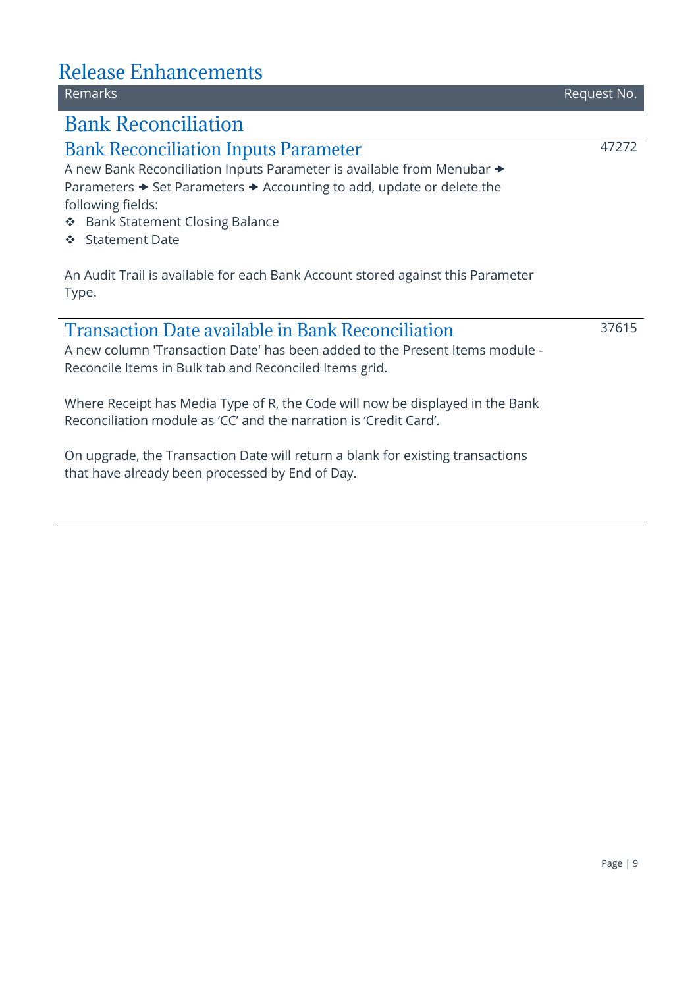### <span id="page-8-2"></span><span id="page-8-1"></span><span id="page-8-0"></span>Release Enhancements Remarks Request No. Bank Reconciliation Bank Reconciliation Inputs Parameter A new Bank Reconciliation Inputs Parameter is available from Menubar Parameters  $\rightarrow$  Set Parameters  $\rightarrow$  Accounting to add, update or delete the following fields: ❖ Bank Statement Closing Balance 47272

❖ Statement Date

An Audit Trail is available for each Bank Account stored against this Parameter Type.

### <span id="page-8-3"></span>Transaction Date available in Bank Reconciliation

A new column 'Transaction Date' has been added to the Present Items module - Reconcile Items in Bulk tab and Reconciled Items grid.

Where Receipt has Media Type of R, the Code will now be displayed in the Bank Reconciliation module as 'CC' and the narration is 'Credit Card'.

On upgrade, the Transaction Date will return a blank for existing transactions that have already been processed by End of Day.

Page | 9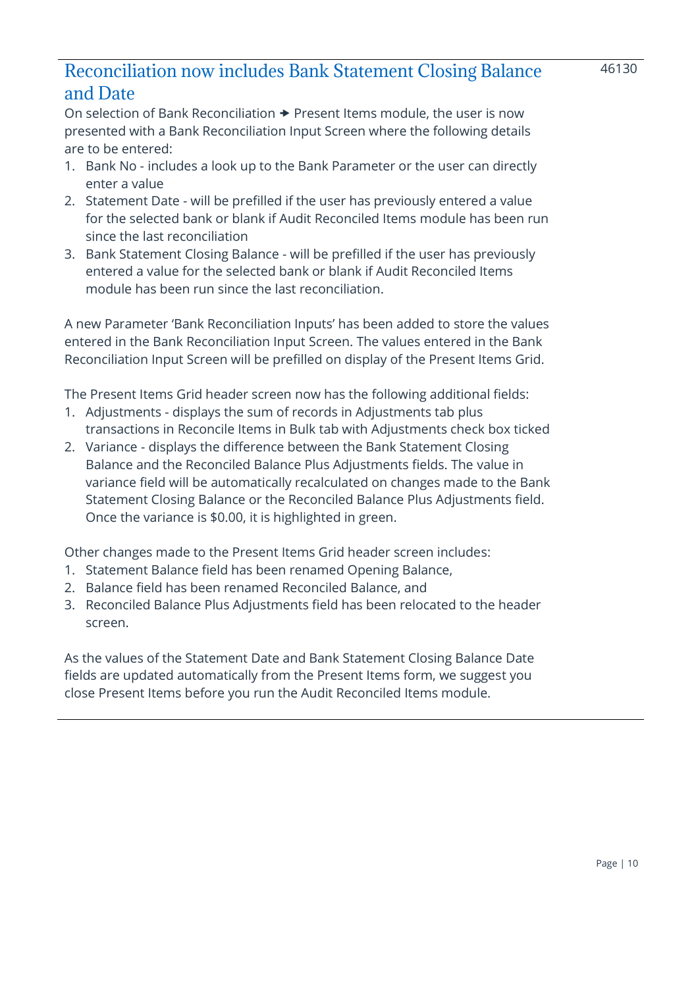### <span id="page-9-0"></span>Reconciliation now includes Bank Statement Closing Balance and Date

On selection of Bank Reconciliation  $\rightarrow$  Present Items module, the user is now presented with a Bank Reconciliation Input Screen where the following details are to be entered:

- 1. Bank No includes a look up to the Bank Parameter or the user can directly enter a value
- 2. Statement Date will be prefilled if the user has previously entered a value for the selected bank or blank if Audit Reconciled Items module has been run since the last reconciliation
- 3. Bank Statement Closing Balance will be prefilled if the user has previously entered a value for the selected bank or blank if Audit Reconciled Items module has been run since the last reconciliation.

A new Parameter 'Bank Reconciliation Inputs' has been added to store the values entered in the Bank Reconciliation Input Screen. The values entered in the Bank Reconciliation Input Screen will be prefilled on display of the Present Items Grid.

The Present Items Grid header screen now has the following additional fields:

- 1. Adjustments displays the sum of records in Adjustments tab plus transactions in Reconcile Items in Bulk tab with Adjustments check box ticked
- 2. Variance displays the difference between the Bank Statement Closing Balance and the Reconciled Balance Plus Adjustments fields. The value in variance field will be automatically recalculated on changes made to the Bank Statement Closing Balance or the Reconciled Balance Plus Adjustments field. Once the variance is \$0.00, it is highlighted in green.

Other changes made to the Present Items Grid header screen includes:

- 1. Statement Balance field has been renamed Opening Balance,
- 2. Balance field has been renamed Reconciled Balance, and
- 3. Reconciled Balance Plus Adjustments field has been relocated to the header screen.

As the values of the Statement Date and Bank Statement Closing Balance Date fields are updated automatically from the Present Items form, we suggest you close Present Items before you run the Audit Reconciled Items module.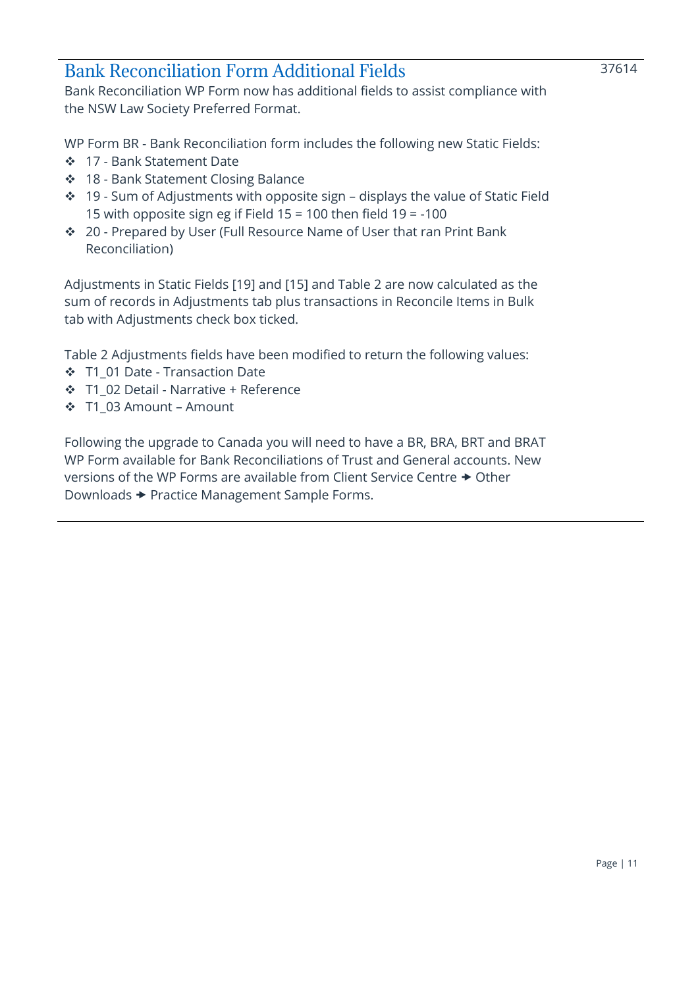### <span id="page-10-0"></span>Bank Reconciliation Form Additional Fields

Bank Reconciliation WP Form now has additional fields to assist compliance with the NSW Law Society Preferred Format.

WP Form BR - Bank Reconciliation form includes the following new Static Fields:

- ❖ 17 Bank Statement Date
- ❖ 18 Bank Statement Closing Balance
- ❖ 19 Sum of Adjustments with opposite sign displays the value of Static Field 15 with opposite sign eg if Field 15 = 100 then field 19 = -100
- ❖ 20 Prepared by User (Full Resource Name of User that ran Print Bank Reconciliation)

Adjustments in Static Fields [19] and [15] and Table 2 are now calculated as the sum of records in Adjustments tab plus transactions in Reconcile Items in Bulk tab with Adjustments check box ticked.

Table 2 Adjustments fields have been modified to return the following values:

- ❖ T1\_01 Date Transaction Date
- ❖ T1\_02 Detail Narrative + Reference
- ❖ T1\_03 Amount Amount

Following the upgrade to Canada you will need to have a BR, BRA, BRT and BRAT WP Form available for Bank Reconciliations of Trust and General accounts. New versions of the WP Forms are available from Client Service Centre  $\rightarrow$  Other Downloads Practice Management Sample Forms.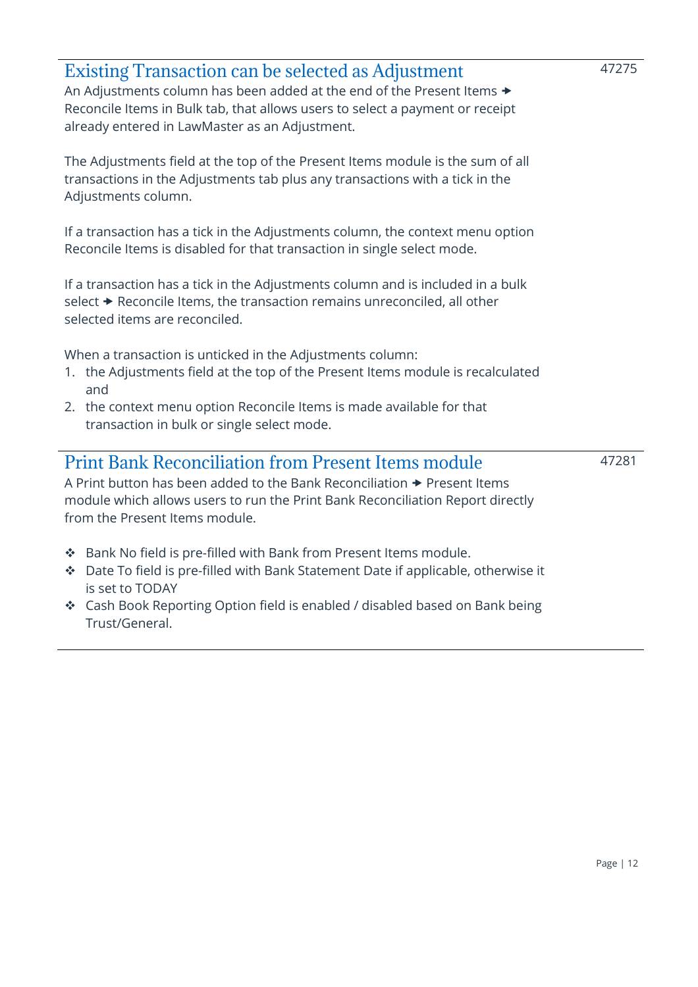<span id="page-11-1"></span><span id="page-11-0"></span>

| <b>Existing Transaction can be selected as Adjustment</b><br>An Adjustments column has been added at the end of the Present Items $\rightarrow$<br>Reconcile Items in Bulk tab, that allows users to select a payment or receipt<br>already entered in LawMaster as an Adjustment. | 47275 |
|------------------------------------------------------------------------------------------------------------------------------------------------------------------------------------------------------------------------------------------------------------------------------------|-------|
| The Adjustments field at the top of the Present Items module is the sum of all<br>transactions in the Adjustments tab plus any transactions with a tick in the<br>Adjustments column.                                                                                              |       |
| If a transaction has a tick in the Adjustments column, the context menu option<br>Reconcile Items is disabled for that transaction in single select mode.                                                                                                                          |       |
| If a transaction has a tick in the Adjustments column and is included in a bulk<br>select → Reconcile Items, the transaction remains unreconciled, all other<br>selected items are reconciled.                                                                                     |       |
| When a transaction is unticked in the Adjustments column:<br>1. the Adjustments field at the top of the Present Items module is recalculated<br>and<br>2. the context menu option Reconcile Items is made available for that                                                       |       |
| transaction in bulk or single select mode.                                                                                                                                                                                                                                         |       |
| <b>Print Bank Reconciliation from Present Items module</b><br>A Print button has been added to the Bank Reconciliation → Present Items<br>module which allows users to run the Print Bank Reconciliation Report directly<br>from the Present Items module.                         | 47281 |
| * Bank No field is pre-filled with Bank from Present Items module.<br>Date To field is pre-filled with Bank Statement Date if applicable, otherwise it<br>❖<br>is set to TODAY                                                                                                     |       |
| * Cash Book Reporting Option field is enabled / disabled based on Bank being<br>Trust/General.                                                                                                                                                                                     |       |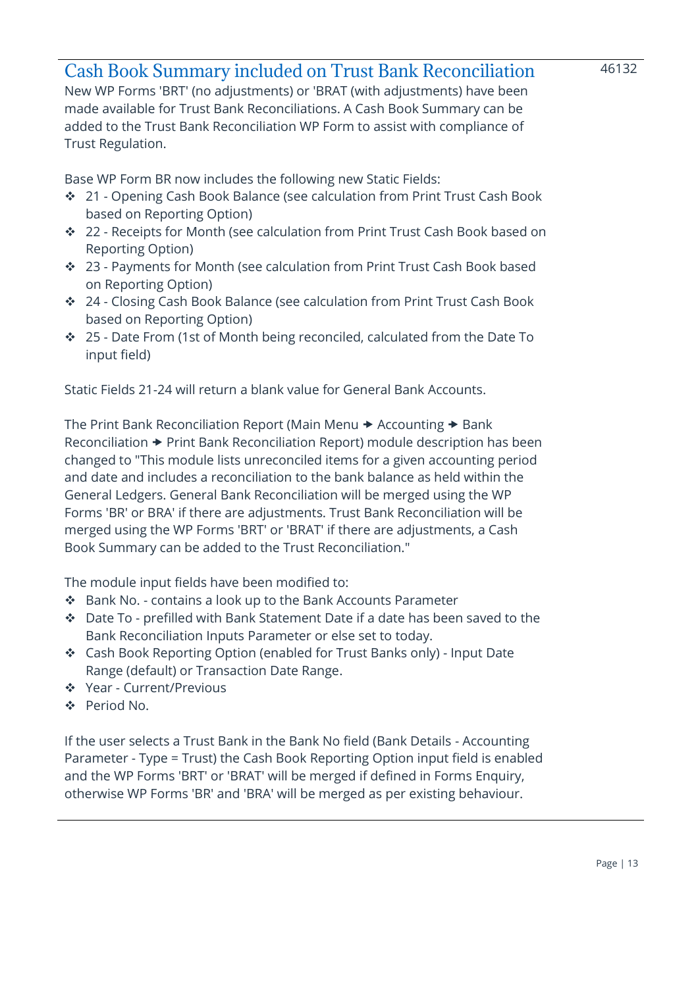### <span id="page-12-0"></span>Cash Book Summary included on Trust Bank Reconciliation

46132

New WP Forms 'BRT' (no adjustments) or 'BRAT (with adjustments) have been made available for Trust Bank Reconciliations. A Cash Book Summary can be added to the Trust Bank Reconciliation WP Form to assist with compliance of Trust Regulation.

Base WP Form BR now includes the following new Static Fields:

- ❖ 21 Opening Cash Book Balance (see calculation from Print Trust Cash Book based on Reporting Option)
- ❖ 22 Receipts for Month (see calculation from Print Trust Cash Book based on Reporting Option)
- ❖ 23 Payments for Month (see calculation from Print Trust Cash Book based on Reporting Option)
- ❖ 24 Closing Cash Book Balance (see calculation from Print Trust Cash Book based on Reporting Option)
- ❖ 25 Date From (1st of Month being reconciled, calculated from the Date To input field)

Static Fields 21-24 will return a blank value for General Bank Accounts.

The Print Bank Reconciliation Report (Main Menu  $\rightarrow$  Accounting  $\rightarrow$  Bank  $Reconciliation$   $\rightarrow$  Print Bank Reconciliation Report) module description has been changed to "This module lists unreconciled items for a given accounting period and date and includes a reconciliation to the bank balance as held within the General Ledgers. General Bank Reconciliation will be merged using the WP Forms 'BR' or BRA' if there are adjustments. Trust Bank Reconciliation will be merged using the WP Forms 'BRT' or 'BRAT' if there are adjustments, a Cash Book Summary can be added to the Trust Reconciliation."

The module input fields have been modified to:

- ❖ Bank No. contains a look up to the Bank Accounts Parameter
- ❖ Date To prefilled with Bank Statement Date if a date has been saved to the Bank Reconciliation Inputs Parameter or else set to today.
- ❖ Cash Book Reporting Option (enabled for Trust Banks only) Input Date Range (default) or Transaction Date Range.
- ❖ Year Current/Previous
- ❖ Period No.

If the user selects a Trust Bank in the Bank No field (Bank Details - Accounting Parameter - Type = Trust) the Cash Book Reporting Option input field is enabled and the WP Forms 'BRT' or 'BRAT' will be merged if defined in Forms Enquiry, otherwise WP Forms 'BR' and 'BRA' will be merged as per existing behaviour.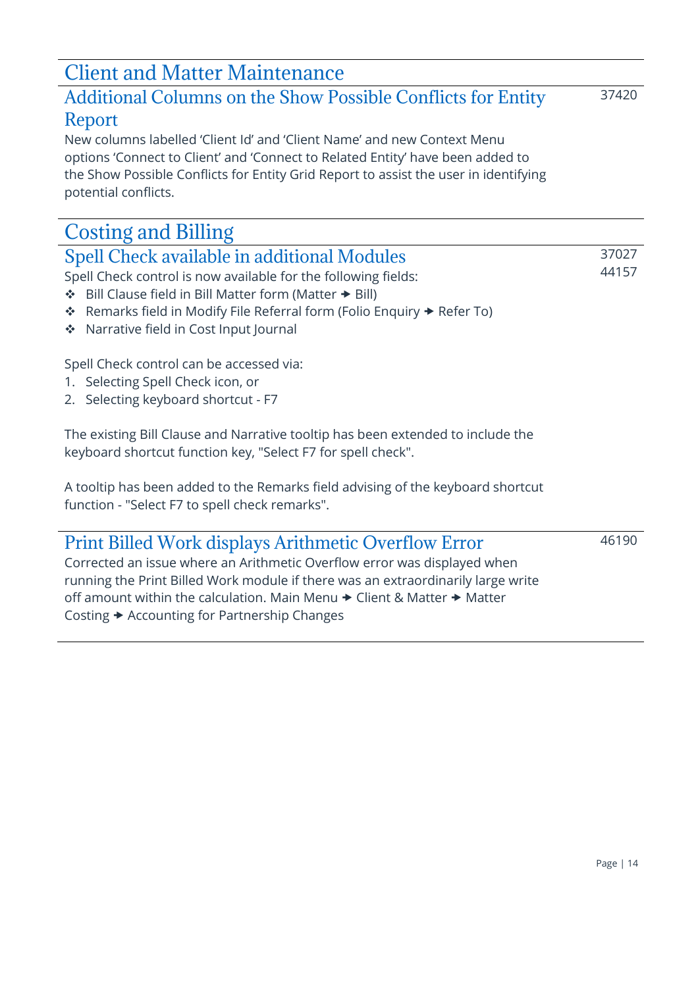# <span id="page-13-0"></span>Client and Matter Maintenance

### <span id="page-13-1"></span>Additional Columns on the Show Possible Conflicts for Entity Report

37420

New columns labelled 'Client Id' and 'Client Name' and new Context Menu options 'Connect to Client' and 'Connect to Related Entity' have been added to the Show Possible Conflicts for Entity Grid Report to assist the user in identifying potential conflicts.

# <span id="page-13-2"></span>Costing and Billing

<span id="page-13-3"></span>

| Spell Check available in additional Modules                    | 37027 |
|----------------------------------------------------------------|-------|
| Spell Check control is now available for the following fields: | 44157 |
| .                                                              |       |

- ❖ Bill Clause field in Bill Matter form (Matter Bill)
- ❖ Remarks field in Modify File Referral form (Folio Enquiry Refer To)
- ❖ Narrative field in Cost Input Journal

Spell Check control can be accessed via:

- 1. Selecting Spell Check icon, or
- 2. Selecting keyboard shortcut F7

The existing Bill Clause and Narrative tooltip has been extended to include the keyboard shortcut function key, "Select F7 for spell check".

A tooltip has been added to the Remarks field advising of the keyboard shortcut function - "Select F7 to spell check remarks".

# <span id="page-13-4"></span>Print Billed Work displays Arithmetic Overflow Error

46190

Corrected an issue where an Arithmetic Overflow error was displayed when running the Print Billed Work module if there was an extraordinarily large write off amount within the calculation. Main Menu  $\rightarrow$  Client & Matter  $\rightarrow$  Matter Costing **→** Accounting for Partnership Changes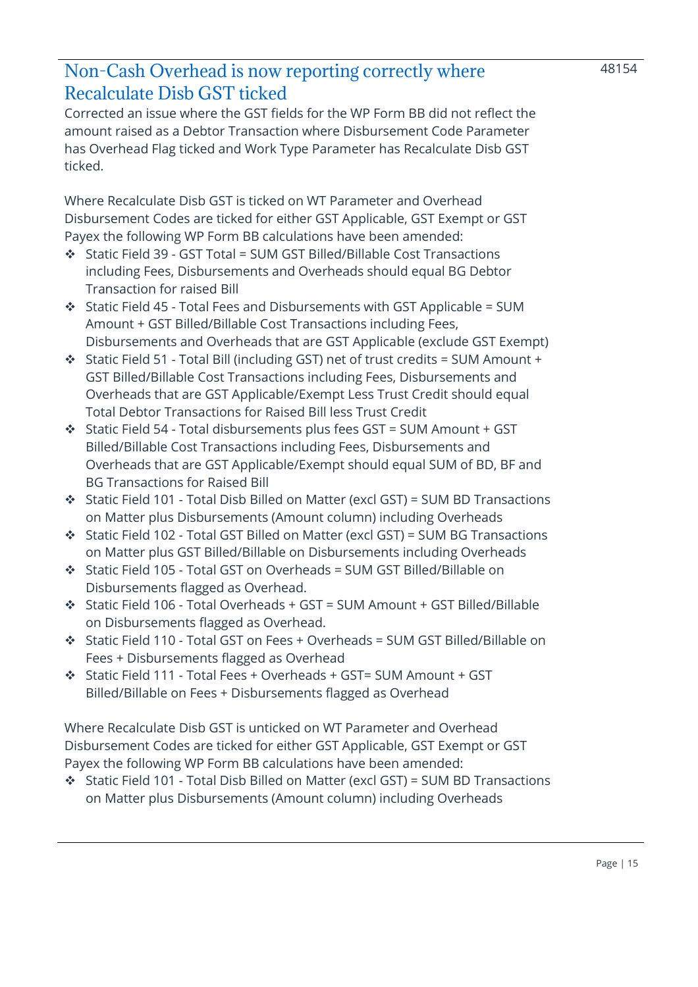### <span id="page-14-0"></span>Non-Cash Overhead is now reporting correctly where Recalculate Disb GST ticked

Corrected an issue where the GST fields for the WP Form BB did not reflect the amount raised as a Debtor Transaction where Disbursement Code Parameter has Overhead Flag ticked and Work Type Parameter has Recalculate Disb GST ticked.

Where Recalculate Disb GST is ticked on WT Parameter and Overhead Disbursement Codes are ticked for either GST Applicable, GST Exempt or GST Payex the following WP Form BB calculations have been amended:

- ❖ Static Field 39 GST Total = SUM GST Billed/Billable Cost Transactions including Fees, Disbursements and Overheads should equal BG Debtor Transaction for raised Bill
- ❖ Static Field 45 Total Fees and Disbursements with GST Applicable = SUM Amount + GST Billed/Billable Cost Transactions including Fees, Disbursements and Overheads that are GST Applicable (exclude GST Exempt)
- ❖ Static Field 51 Total Bill (including GST) net of trust credits = SUM Amount + GST Billed/Billable Cost Transactions including Fees, Disbursements and Overheads that are GST Applicable/Exempt Less Trust Credit should equal Total Debtor Transactions for Raised Bill less Trust Credit
- ❖ Static Field 54 Total disbursements plus fees GST = SUM Amount + GST Billed/Billable Cost Transactions including Fees, Disbursements and Overheads that are GST Applicable/Exempt should equal SUM of BD, BF and BG Transactions for Raised Bill
- ❖ Static Field 101 Total Disb Billed on Matter (excl GST) = SUM BD Transactions on Matter plus Disbursements (Amount column) including Overheads
- ❖ Static Field 102 Total GST Billed on Matter (excl GST) = SUM BG Transactions on Matter plus GST Billed/Billable on Disbursements including Overheads
- ❖ Static Field 105 Total GST on Overheads = SUM GST Billed/Billable on Disbursements flagged as Overhead.
- ❖ Static Field 106 Total Overheads + GST = SUM Amount + GST Billed/Billable on Disbursements flagged as Overhead.
- ❖ Static Field 110 Total GST on Fees + Overheads = SUM GST Billed/Billable on Fees + Disbursements flagged as Overhead
- ❖ Static Field 111 Total Fees + Overheads + GST= SUM Amount + GST Billed/Billable on Fees + Disbursements flagged as Overhead

Where Recalculate Disb GST is unticked on WT Parameter and Overhead Disbursement Codes are ticked for either GST Applicable, GST Exempt or GST Payex the following WP Form BB calculations have been amended:

❖ Static Field 101 - Total Disb Billed on Matter (excl GST) = SUM BD Transactions on Matter plus Disbursements (Amount column) including Overheads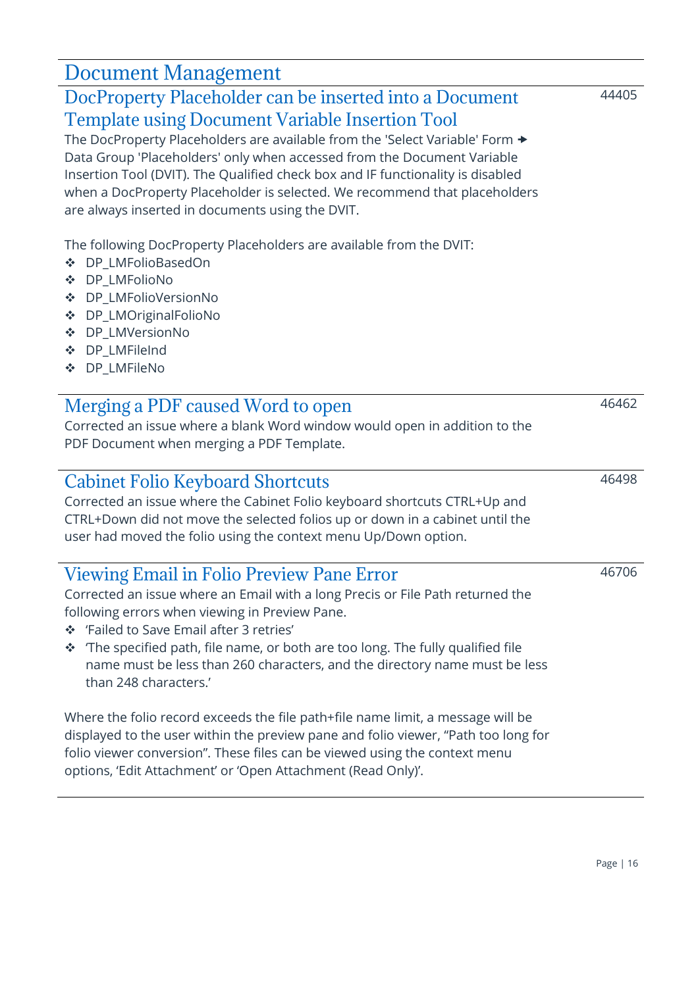# <span id="page-15-0"></span>Document Management

### <span id="page-15-1"></span>DocProperty Placeholder can be inserted into a Document Template using Document Variable Insertion Tool

The DocProperty Placeholders are available from the 'Select Variable' Form  $\rightarrow$ Data Group 'Placeholders' only when accessed from the Document Variable Insertion Tool (DVIT). The Qualified check box and IF functionality is disabled when a DocProperty Placeholder is selected. We recommend that placeholders are always inserted in documents using the DVIT.

The following DocProperty Placeholders are available from the DVIT:

- ❖ DP\_LMFolioBasedOn
- ❖ DP\_LMFolioNo
- ❖ DP\_LMFolioVersionNo
- ❖ DP\_LMOriginalFolioNo
- ❖ DP\_LMVersionNo
- ❖ DP\_LMFileInd
- ❖ DP\_LMFileNo

### <span id="page-15-2"></span>Merging a PDF caused Word to open

Corrected an issue where a blank Word window would open in addition to the PDF Document when merging a PDF Template.

### <span id="page-15-3"></span>Cabinet Folio Keyboard Shortcuts

Corrected an issue where the Cabinet Folio keyboard shortcuts CTRL+Up and CTRL+Down did not move the selected folios up or down in a cabinet until the user had moved the folio using the context menu Up/Down option.

### <span id="page-15-4"></span>Viewing Email in Folio Preview Pane Error

Corrected an issue where an Email with a long Precis or File Path returned the following errors when viewing in Preview Pane.

- ❖ 'Failed to Save Email after 3 retries'
- ❖ 'The specified path, file name, or both are too long. The fully qualified file name must be less than 260 characters, and the directory name must be less than 248 characters.'

Where the folio record exceeds the file path+file name limit, a message will be displayed to the user within the preview pane and folio viewer, "Path too long for folio viewer conversion". These files can be viewed using the context menu options, 'Edit Attachment' or 'Open Attachment (Read Only)'.

### 44405

46706

46462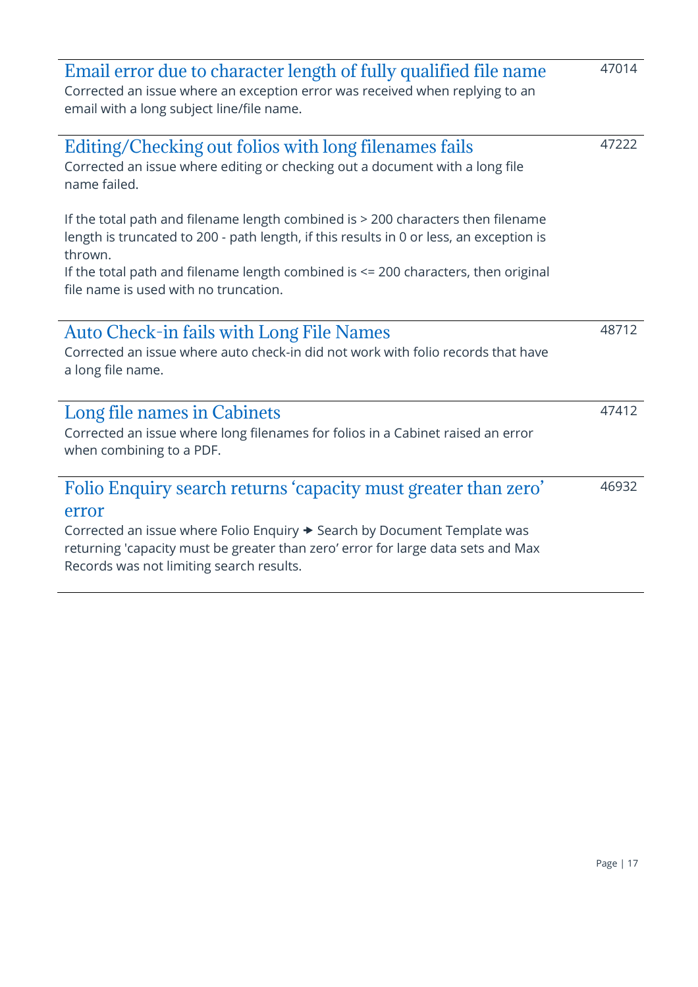<span id="page-16-4"></span><span id="page-16-3"></span><span id="page-16-2"></span><span id="page-16-1"></span><span id="page-16-0"></span>

| Email error due to character length of fully qualified file name<br>Corrected an issue where an exception error was received when replying to an<br>email with a long subject line/file name.                                                                                       | 47014 |
|-------------------------------------------------------------------------------------------------------------------------------------------------------------------------------------------------------------------------------------------------------------------------------------|-------|
| Editing/Checking out folios with long filenames fails<br>Corrected an issue where editing or checking out a document with a long file<br>name failed.                                                                                                                               | 47222 |
| If the total path and filename length combined is > 200 characters then filename<br>length is truncated to 200 - path length, if this results in 0 or less, an exception is<br>thrown.                                                                                              |       |
| If the total path and filename length combined is <= 200 characters, then original<br>file name is used with no truncation.                                                                                                                                                         |       |
| <b>Auto Check-in fails with Long File Names</b><br>Corrected an issue where auto check-in did not work with folio records that have<br>a long file name.                                                                                                                            | 48712 |
| Long file names in Cabinets<br>Corrected an issue where long filenames for folios in a Cabinet raised an error<br>when combining to a PDF.                                                                                                                                          | 47412 |
| Folio Enquiry search returns 'capacity must greater than zero'<br>error<br>Corrected an issue where Folio Enquiry → Search by Document Template was<br>returning 'capacity must be greater than zero' error for large data sets and Max<br>Records was not limiting search results. | 46932 |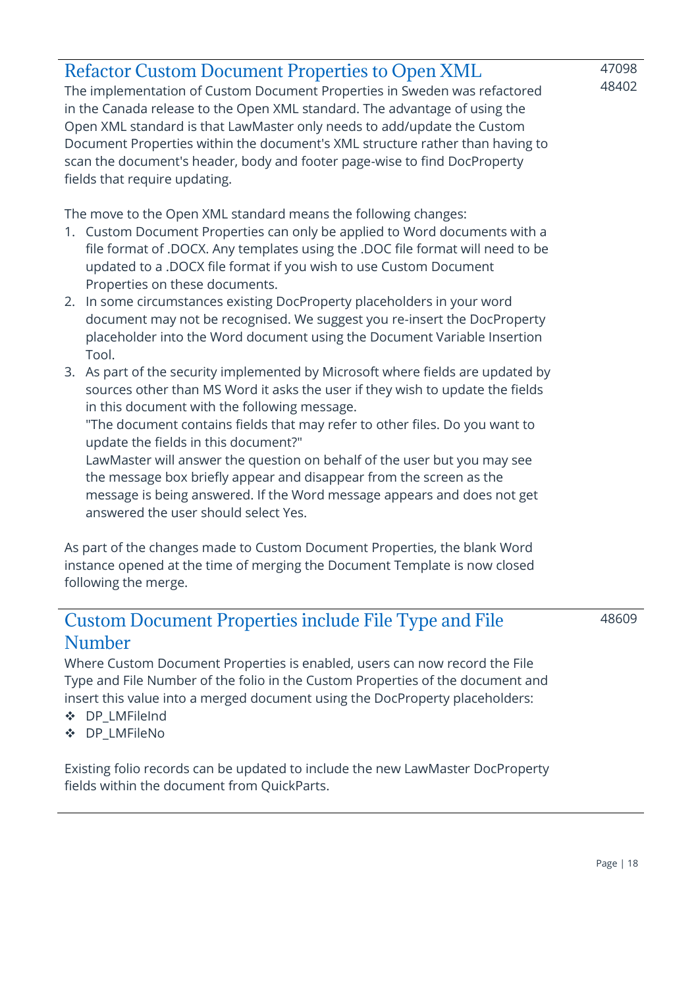### <span id="page-17-0"></span>Refactor Custom Document Properties to Open XML

The implementation of Custom Document Properties in Sweden was refactored in the Canada release to the Open XML standard. The advantage of using the Open XML standard is that LawMaster only needs to add/update the Custom Document Properties within the document's XML structure rather than having to scan the document's header, body and footer page-wise to find DocProperty fields that require updating.

The move to the Open XML standard means the following changes:

- 1. Custom Document Properties can only be applied to Word documents with a file format of .DOCX. Any templates using the .DOC file format will need to be updated to a .DOCX file format if you wish to use Custom Document Properties on these documents.
- 2. In some circumstances existing DocProperty placeholders in your word document may not be recognised. We suggest you re-insert the DocProperty placeholder into the Word document using the Document Variable Insertion Tool.
- 3. As part of the security implemented by Microsoft where fields are updated by sources other than MS Word it asks the user if they wish to update the fields in this document with the following message.

"The document contains fields that may refer to other files. Do you want to update the fields in this document?"

LawMaster will answer the question on behalf of the user but you may see the message box briefly appear and disappear from the screen as the message is being answered. If the Word message appears and does not get answered the user should select Yes.

As part of the changes made to Custom Document Properties, the blank Word instance opened at the time of merging the Document Template is now closed following the merge.

### <span id="page-17-1"></span>Custom Document Properties include File Type and File Number

48609

47098 48402

Where Custom Document Properties is enabled, users can now record the File Type and File Number of the folio in the Custom Properties of the document and insert this value into a merged document using the DocProperty placeholders:

- ❖ DP\_LMFileInd
- ❖ DP\_LMFileNo

Existing folio records can be updated to include the new LawMaster DocProperty fields within the document from QuickParts.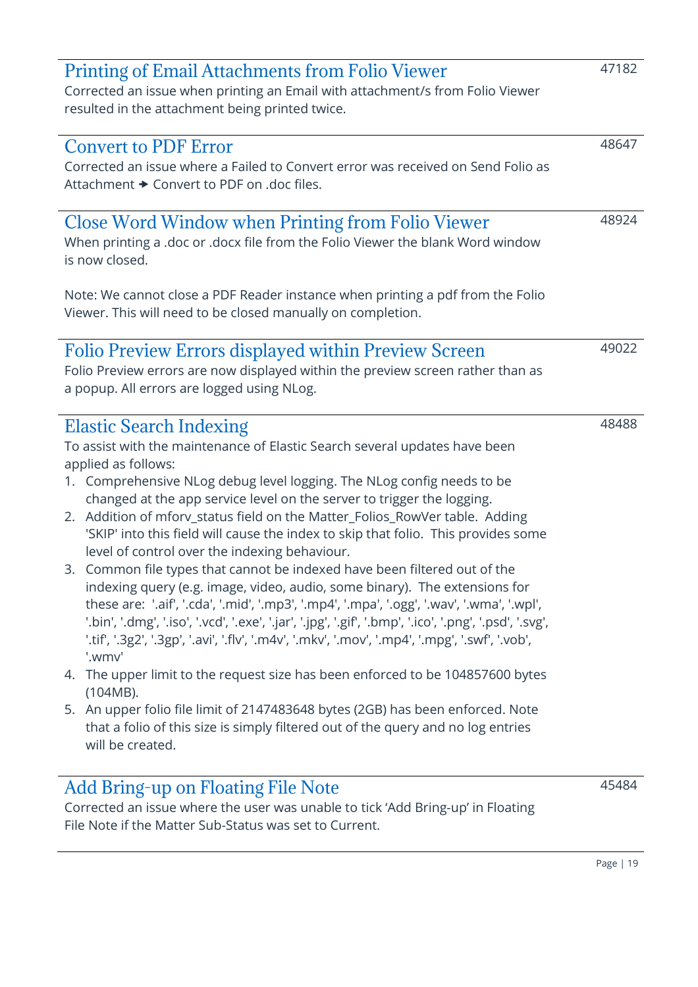<span id="page-18-5"></span><span id="page-18-4"></span><span id="page-18-3"></span><span id="page-18-2"></span><span id="page-18-1"></span><span id="page-18-0"></span>

| <b>Printing of Email Attachments from Folio Viewer</b><br>Corrected an issue when printing an Email with attachment/s from Folio Viewer<br>resulted in the attachment being printed twice.                                                                                                                                                                                                                                                                                                                                                                                                                                                                                                                                                                                                                                                                                                                                                                                                                                                                                                                                                                                                                                                                                             | 47182 |
|----------------------------------------------------------------------------------------------------------------------------------------------------------------------------------------------------------------------------------------------------------------------------------------------------------------------------------------------------------------------------------------------------------------------------------------------------------------------------------------------------------------------------------------------------------------------------------------------------------------------------------------------------------------------------------------------------------------------------------------------------------------------------------------------------------------------------------------------------------------------------------------------------------------------------------------------------------------------------------------------------------------------------------------------------------------------------------------------------------------------------------------------------------------------------------------------------------------------------------------------------------------------------------------|-------|
| <b>Convert to PDF Error</b><br>Corrected an issue where a Failed to Convert error was received on Send Folio as<br>Attachment $\rightarrow$ Convert to PDF on .doc files.                                                                                                                                                                                                                                                                                                                                                                                                                                                                                                                                                                                                                                                                                                                                                                                                                                                                                                                                                                                                                                                                                                              | 48647 |
| <b>Close Word Window when Printing from Folio Viewer</b><br>When printing a .doc or .docx file from the Folio Viewer the blank Word window<br>is now closed.<br>Note: We cannot close a PDF Reader instance when printing a pdf from the Folio<br>Viewer. This will need to be closed manually on completion.                                                                                                                                                                                                                                                                                                                                                                                                                                                                                                                                                                                                                                                                                                                                                                                                                                                                                                                                                                          | 48924 |
| <b>Folio Preview Errors displayed within Preview Screen</b><br>Folio Preview errors are now displayed within the preview screen rather than as<br>a popup. All errors are logged using NLog.                                                                                                                                                                                                                                                                                                                                                                                                                                                                                                                                                                                                                                                                                                                                                                                                                                                                                                                                                                                                                                                                                           | 49022 |
| <b>Elastic Search Indexing</b><br>To assist with the maintenance of Elastic Search several updates have been<br>applied as follows:<br>1. Comprehensive NLog debug level logging. The NLog config needs to be<br>changed at the app service level on the server to trigger the logging.<br>2. Addition of mforv_status field on the Matter_Folios_RowVer table. Adding<br>'SKIP' into this field will cause the index to skip that folio. This provides some<br>level of control over the indexing behaviour.<br>3. Common file types that cannot be indexed have been filtered out of the<br>indexing query (e.g. image, video, audio, some binary). The extensions for<br>these are: '.aif', '.cda', '.mid', '.mp3', '.mp4', '.mpa', '.ogg', '.wav', '.wma', '.wpl',<br>'.bin', '.dmg', '.iso', '.vcd', '.exe', '.jar', '.jpg', '.gif', '.bmp', '.ico', '.png', '.psd', '.svg',<br>'.tif', '.3g2', '.3gp', '.avi', '.flv', '.m4v', '.mkv', '.mov', '.mp4', '.mpg', '.swf', '.vob',<br>'.wmv'<br>4. The upper limit to the request size has been enforced to be 104857600 bytes<br>(104MB).<br>5. An upper folio file limit of 2147483648 bytes (2GB) has been enforced. Note<br>that a folio of this size is simply filtered out of the query and no log entries<br>will be created. | 48488 |
| Add Bring-up on Floating File Note<br>Corrected an issue where the user was unable to tick 'Add Bring-up' in Floating<br>File Note if the Matter Sub-Status was set to Current.                                                                                                                                                                                                                                                                                                                                                                                                                                                                                                                                                                                                                                                                                                                                                                                                                                                                                                                                                                                                                                                                                                        | 45484 |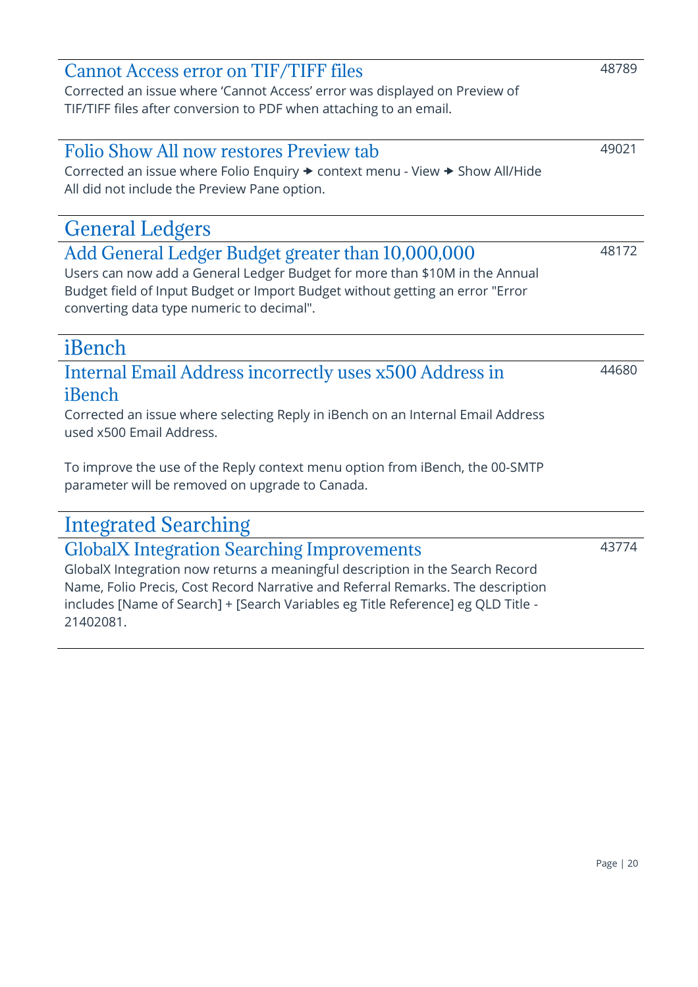# <span id="page-19-2"></span>Corrected an issue where Folio Enquiry  $\rightarrow$  context menu - View  $\rightarrow$  Show All/Hide All did not include the Preview Pane option. General Ledgers Add General Ledger Budget greater than 10,000,000 Users can now add a General Ledger Budget for more than \$10M in the Annual Budget field of Input Budget or Import Budget without getting an error "Error

# <span id="page-19-3"></span>converting data type numeric to decimal".

### <span id="page-19-4"></span>iBench

### <span id="page-19-5"></span>Internal Email Address incorrectly uses x500 Address in iBench

Corrected an issue where selecting Reply in iBench on an Internal Email Address used x500 Email Address.

To improve the use of the Reply context menu option from iBench, the 00-SMTP parameter will be removed on upgrade to Canada.

# <span id="page-19-6"></span>Integrated Searching

### <span id="page-19-7"></span>GlobalX Integration Searching Improvements

GlobalX Integration now returns a meaningful description in the Search Record Name, Folio Precis, Cost Record Narrative and Referral Remarks. The description includes [Name of Search] + [Search Variables eg Title Reference] eg QLD Title - 21402081.

### <span id="page-19-0"></span>Cannot Access error on TIF/TIFF files

Corrected an issue where 'Cannot Access' error was displayed on Preview of TIF/TIFF files after conversion to PDF when attaching to an email.

<span id="page-19-1"></span>Folio Show All now restores Preview tab

49021

48789

48172

44680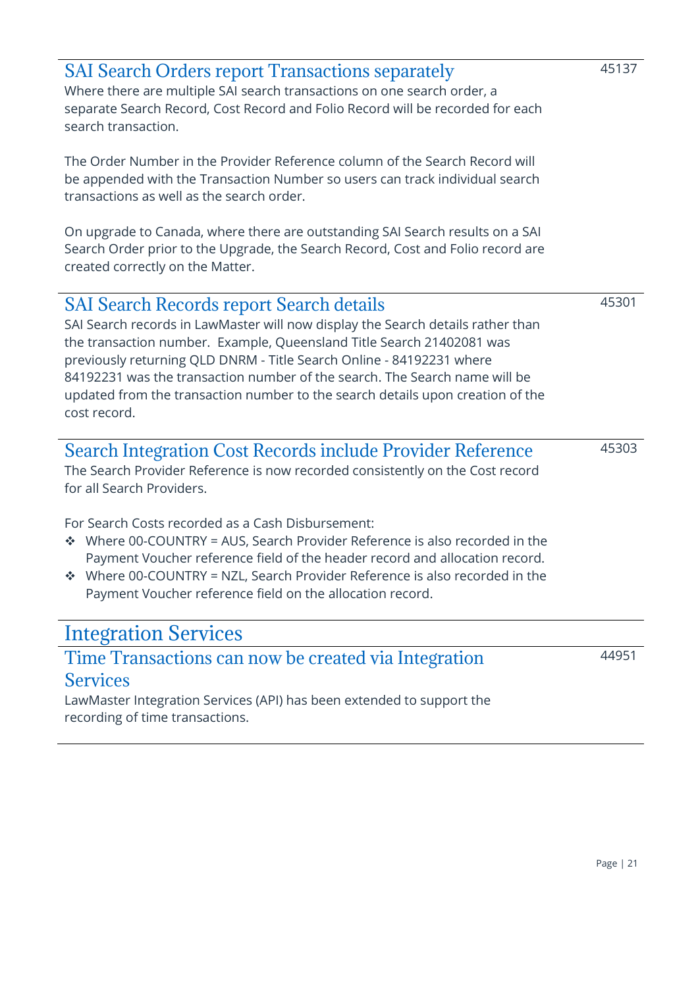<span id="page-20-4"></span><span id="page-20-3"></span><span id="page-20-2"></span><span id="page-20-1"></span><span id="page-20-0"></span>

| <b>SAI Search Orders report Transactions separately</b><br>Where there are multiple SAI search transactions on one search order, a<br>separate Search Record, Cost Record and Folio Record will be recorded for each<br>search transaction.<br>The Order Number in the Provider Reference column of the Search Record will                                                                                                                                                                                                                      | 45137 |
|-------------------------------------------------------------------------------------------------------------------------------------------------------------------------------------------------------------------------------------------------------------------------------------------------------------------------------------------------------------------------------------------------------------------------------------------------------------------------------------------------------------------------------------------------|-------|
| be appended with the Transaction Number so users can track individual search<br>transactions as well as the search order.                                                                                                                                                                                                                                                                                                                                                                                                                       |       |
| On upgrade to Canada, where there are outstanding SAI Search results on a SAI<br>Search Order prior to the Upgrade, the Search Record, Cost and Folio record are<br>created correctly on the Matter.                                                                                                                                                                                                                                                                                                                                            |       |
| <b>SAI Search Records report Search details</b><br>SAI Search records in LawMaster will now display the Search details rather than<br>the transaction number. Example, Queensland Title Search 21402081 was<br>previously returning QLD DNRM - Title Search Online - 84192231 where<br>84192231 was the transaction number of the search. The Search name will be<br>updated from the transaction number to the search details upon creation of the<br>cost record.                                                                             | 45301 |
| <b>Search Integration Cost Records include Provider Reference</b><br>The Search Provider Reference is now recorded consistently on the Cost record<br>for all Search Providers.<br>For Search Costs recorded as a Cash Disbursement:<br>Where 00-COUNTRY = AUS, Search Provider Reference is also recorded in the<br>參<br>Payment Voucher reference field of the header record and allocation record.<br>Where 00-COUNTRY = NZL, Search Provider Reference is also recorded in the<br>Payment Voucher reference field on the allocation record. | 45303 |
| <b>Integration Services</b>                                                                                                                                                                                                                                                                                                                                                                                                                                                                                                                     |       |
| Time Transactions can now be created via Integration<br><b>Services</b><br>LawMaster Integration Services (API) has been extended to support the<br>recording of time transactions.                                                                                                                                                                                                                                                                                                                                                             | 44951 |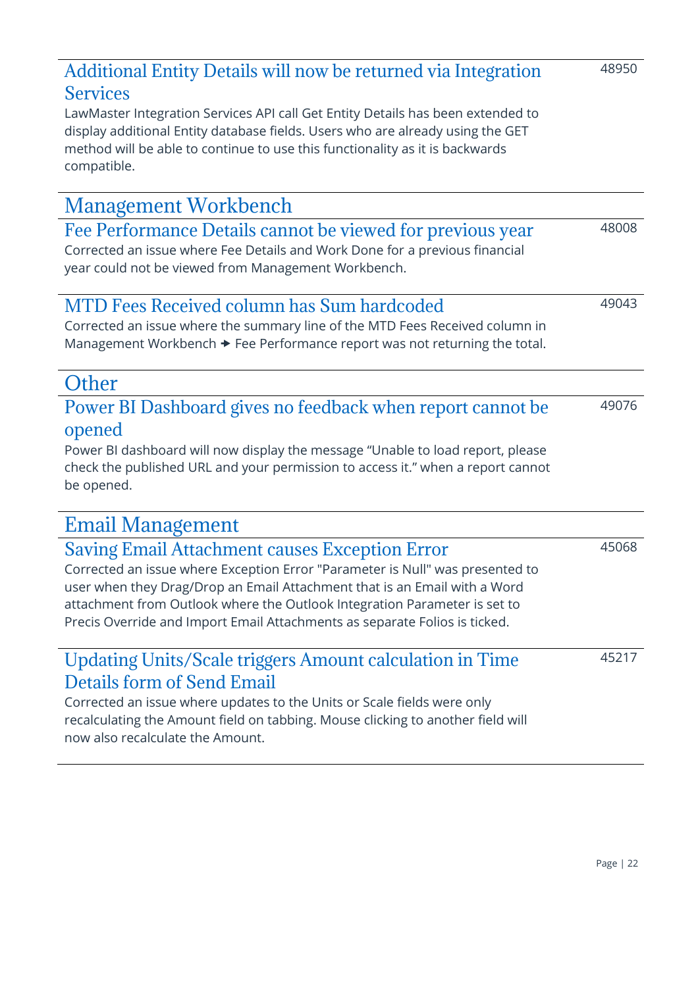### <span id="page-21-0"></span>Additional Entity Details will now be returned via Integration **Services**

LawMaster Integration Services API call Get Entity Details has been extended to display additional Entity database fields. Users who are already using the GET method will be able to continue to use this functionality as it is backwards compatible.

<span id="page-21-8"></span><span id="page-21-7"></span><span id="page-21-6"></span><span id="page-21-5"></span><span id="page-21-4"></span><span id="page-21-3"></span><span id="page-21-2"></span><span id="page-21-1"></span>

| <b>Management Workbench</b>                                                                                                                                                                                                                                                                                                                                                    |       |
|--------------------------------------------------------------------------------------------------------------------------------------------------------------------------------------------------------------------------------------------------------------------------------------------------------------------------------------------------------------------------------|-------|
| Fee Performance Details cannot be viewed for previous year<br>Corrected an issue where Fee Details and Work Done for a previous financial<br>year could not be viewed from Management Workbench.                                                                                                                                                                               | 48008 |
| <b>MTD Fees Received column has Sum hardcoded</b><br>Corrected an issue where the summary line of the MTD Fees Received column in<br>Management Workbench → Fee Performance report was not returning the total.                                                                                                                                                                | 49043 |
| Other                                                                                                                                                                                                                                                                                                                                                                          |       |
| Power BI Dashboard gives no feedback when report cannot be<br>opened<br>Power BI dashboard will now display the message "Unable to load report, please<br>check the published URL and your permission to access it." when a report cannot<br>be opened.                                                                                                                        | 49076 |
| <b>Email Management</b>                                                                                                                                                                                                                                                                                                                                                        |       |
| <b>Saving Email Attachment causes Exception Error</b><br>Corrected an issue where Exception Error "Parameter is Null" was presented to<br>user when they Drag/Drop an Email Attachment that is an Email with a Word<br>attachment from Outlook where the Outlook Integration Parameter is set to<br>Precis Override and Import Email Attachments as separate Folios is ticked. | 45068 |
| <b>Updating Units/Scale triggers Amount calculation in Time</b><br>Details form of Send Email<br>Corrected an issue where updates to the Units or Scale fields were only<br>recalculating the Amount field on tabbing. Mouse clicking to another field will<br>now also recalculate the Amount.                                                                                | 45217 |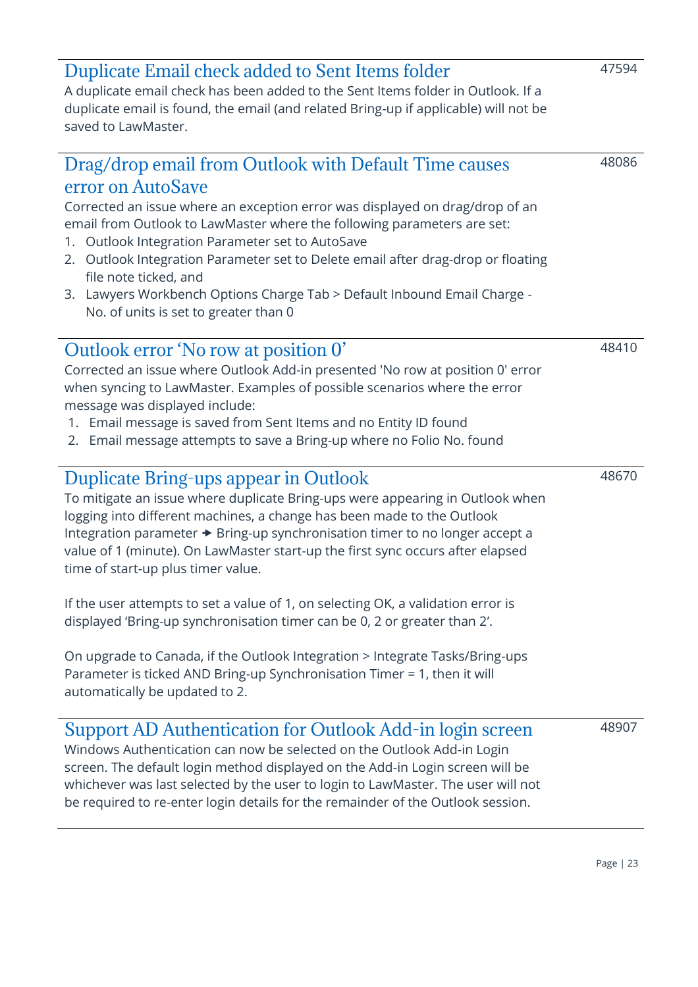| 2.   Outlook Integration Parameter set to Delete email after drag-drop or floating<br>file note ticked, and<br>3. Lawyers Workbench Options Charge Tab > Default Inbound Email Charge -<br>No. of units is set to greater than 0                                                                                                                                                                                |       |
|-----------------------------------------------------------------------------------------------------------------------------------------------------------------------------------------------------------------------------------------------------------------------------------------------------------------------------------------------------------------------------------------------------------------|-------|
| Outlook error 'No row at position 0'<br>Corrected an issue where Outlook Add-in presented 'No row at position 0' error<br>when syncing to LawMaster. Examples of possible scenarios where the error<br>message was displayed include:<br>1. Email message is saved from Sent Items and no Entity ID found<br>2. Email message attempts to save a Bring-up where no Folio No. found                              | 48410 |
| <b>Duplicate Bring-ups appear in Outlook</b><br>To mitigate an issue where duplicate Bring-ups were appearing in Outlook when<br>logging into different machines, a change has been made to the Outlook<br>Integration parameter → Bring-up synchronisation timer to no longer accept a<br>value of 1 (minute). On LawMaster start-up the first sync occurs after elapsed<br>time of start-up plus timer value. | 48670 |
| If the user attempts to set a value of 1, on selecting OK, a validation error is<br>displayed 'Bring-up synchronisation timer can be 0, 2 or greater than 2'.                                                                                                                                                                                                                                                   |       |
| On upgrade to Canada, if the Outlook Integration > Integrate Tasks/Bring-ups<br>Parameter is ticked AND Bring-up Synchronisation Timer = 1, then it will<br>automatically be updated to 2.                                                                                                                                                                                                                      |       |
| Support AD Authentication for Outlook Add-in login screen<br>Windows Authentication can now be selected on the Outlook Add-in Login<br>screen. The default login method displayed on the Add-in Login screen will be                                                                                                                                                                                            | 48907 |

email from Outlook to LawMaster where the following parameters are set: 1. Outlook Integration Parameter set to AutoSave

Corrected an issue where an exception error was displayed on drag/drop of an

<span id="page-22-1"></span>Drag/drop email from Outlook with Default Time causes

A duplicate email check has been added to the Sent Items folder in Outlook. If a duplicate email is found, the email (and related Bring-up if applicable) will not be

<span id="page-22-0"></span>Duplicate Email check added to Sent Items folder

saved to LawMaster.

error on AutoSave

- 2. Outlook Integration Parameter set to Delet file
- <span id="page-22-2"></span>3. Lawyers Workbench Options Charge Tab > Default Inbound Email Charge -

- 1. Email message is saved from Sent Items and no Entity ID found
- 2. Email message attempts to save a Bring-up where no Folio No. found

# <span id="page-22-3"></span>Dupl

<span id="page-22-4"></span>Windows Authentication can now be selected on the Outlook Add-in Login screen. The default login method displayed on the Add-in Login screen will be whichever was last selected by the user to login to LawMaster. The user will not be required to re-enter login details for the remainder of the Outlook session.

47594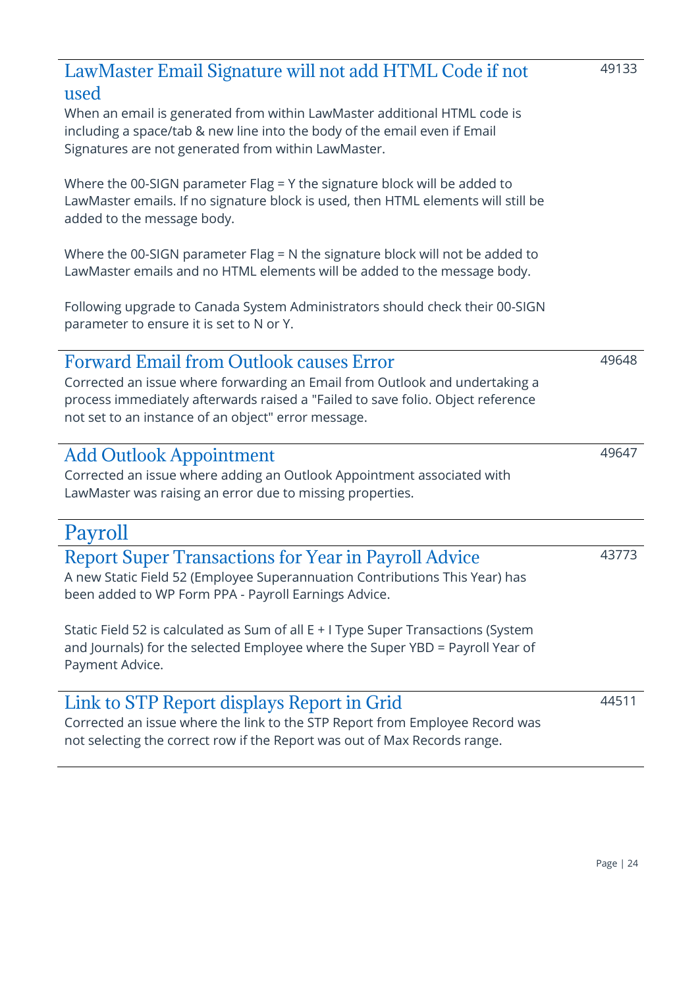<span id="page-23-5"></span><span id="page-23-4"></span><span id="page-23-3"></span><span id="page-23-2"></span><span id="page-23-1"></span><span id="page-23-0"></span>

| LawMaster Email Signature will not add HTML Code if not<br>used                                                                                                                                                       | 49133 |
|-----------------------------------------------------------------------------------------------------------------------------------------------------------------------------------------------------------------------|-------|
| When an email is generated from within LawMaster additional HTML code is<br>including a space/tab & new line into the body of the email even if Email<br>Signatures are not generated from within LawMaster.          |       |
| Where the 00-SIGN parameter Flag = Y the signature block will be added to<br>LawMaster emails. If no signature block is used, then HTML elements will still be<br>added to the message body.                          |       |
| Where the 00-SIGN parameter Flag = N the signature block will not be added to<br>LawMaster emails and no HTML elements will be added to the message body.                                                             |       |
| Following upgrade to Canada System Administrators should check their 00-SIGN<br>parameter to ensure it is set to N or Y.                                                                                              |       |
| <b>Forward Email from Outlook causes Error</b>                                                                                                                                                                        | 49648 |
| Corrected an issue where forwarding an Email from Outlook and undertaking a<br>process immediately afterwards raised a "Failed to save folio. Object reference<br>not set to an instance of an object" error message. |       |
| <b>Add Outlook Appointment</b>                                                                                                                                                                                        | 49647 |
| Corrected an issue where adding an Outlook Appointment associated with<br>LawMaster was raising an error due to missing properties.                                                                                   |       |
| Payroll                                                                                                                                                                                                               |       |
| <b>Report Super Transactions for Year in Payroll Advice</b><br>A new Static Field 52 (Employee Superannuation Contributions This Year) has<br>been added to WP Form PPA - Payroll Earnings Advice.                    | 43773 |
| Static Field 52 is calculated as Sum of all E + I Type Super Transactions (System<br>and Journals) for the selected Employee where the Super YBD = Payroll Year of<br>Payment Advice.                                 |       |
| Link to STP Report displays Report in Grid                                                                                                                                                                            | 44511 |
| Corrected an issue where the link to the STP Report from Employee Record was<br>not selecting the correct row if the Report was out of Max Records range.                                                             |       |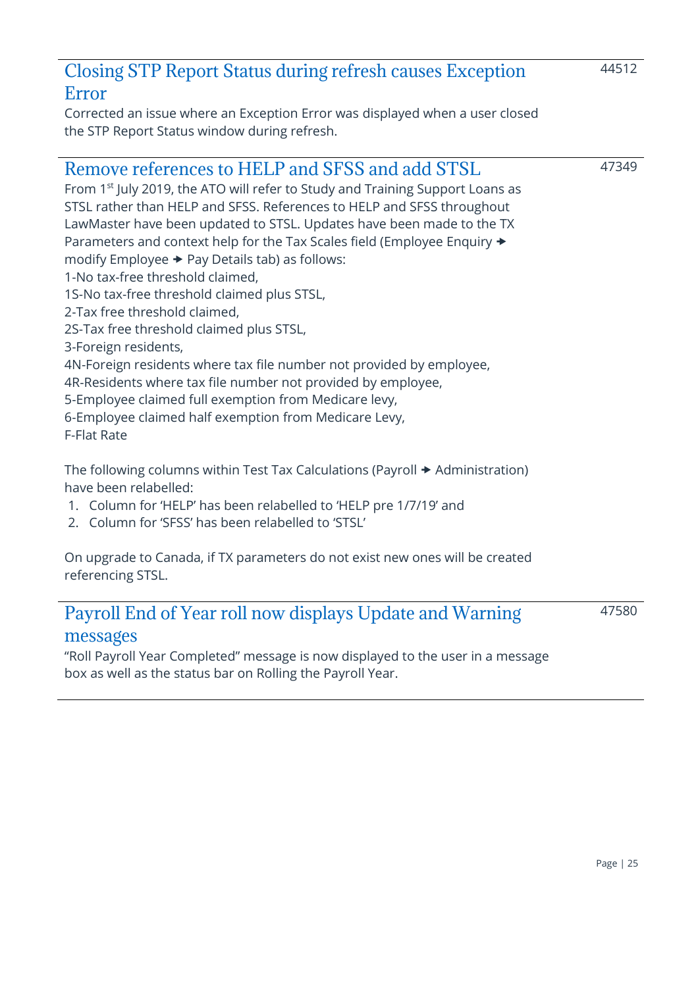### <span id="page-24-0"></span>Closing STP Report Status during refresh causes Exception Error

Corrected an issue where an Exception Error was displayed when a user closed the STP Report Status window during refresh.

### <span id="page-24-1"></span>Remove references to HELP and SFSS and add STSL

From 1<sup>st</sup> July 2019, the ATO will refer to Study and Training Support Loans as STSL rather than HELP and SFSS. References to HELP and SFSS throughout LawMaster have been updated to STSL. Updates have been made to the TX Parameters and context help for the Tax Scales field (Employee Enquiry  $\rightarrow$ modify Employee  $\rightarrow$  Pay Details tab) as follows:

1-No tax-free threshold claimed,

1S-No tax-free threshold claimed plus STSL,

2-Tax free threshold claimed,

2S-Tax free threshold claimed plus STSL,

3-Foreign residents,

4N-Foreign residents where tax file number not provided by employee,

4R-Residents where tax file number not provided by employee,

5-Employee claimed full exemption from Medicare levy,

6-Employee claimed half exemption from Medicare Levy,

F-Flat Rate

The following columns within Test Tax Calculations (Payroll  $\rightarrow$  Administration) have been relabelled:

- 1. Column for 'HELP' has been relabelled to 'HELP pre 1/7/19' and
- 2. Column for 'SFSS' has been relabelled to 'STSL'

On upgrade to Canada, if TX parameters do not exist new ones will be created referencing STSL.

### <span id="page-24-2"></span>Payroll End of Year roll now displays Update and Warning

47580

### messages

"Roll Payroll Year Completed" message is now displayed to the user in a message box as well as the status bar on Rolling the Payroll Year.

44512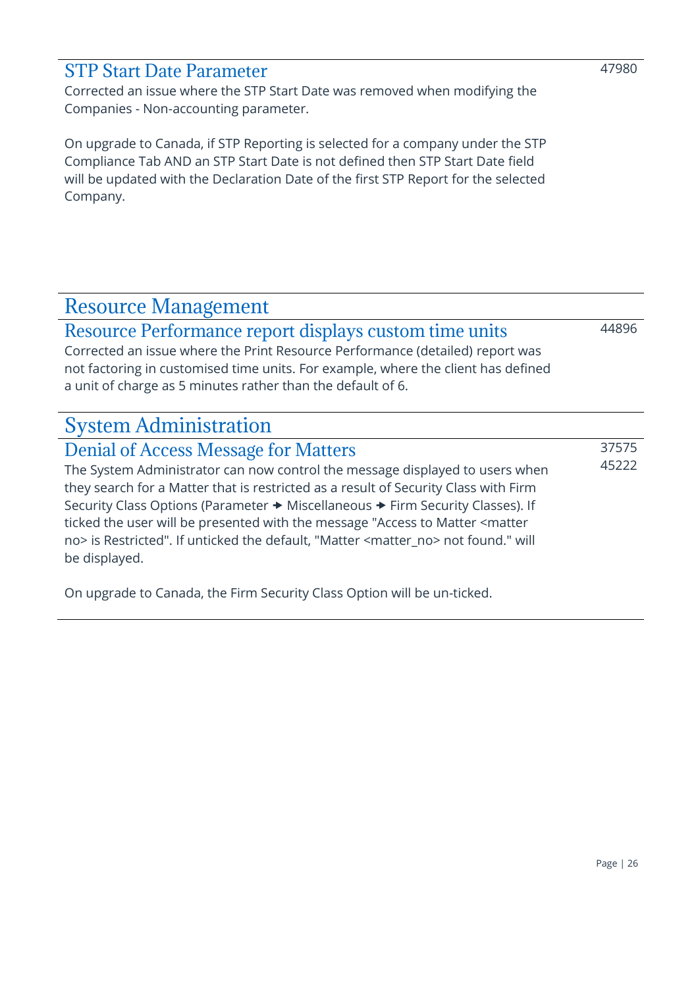### <span id="page-25-0"></span>STP Start Date Parameter

Corrected an issue where the STP Start Date was removed when modifying the Companies - Non-accounting parameter.

On upgrade to Canada, if STP Reporting is selected for a company under the STP Compliance Tab AND an STP Start Date is not defined then STP Start Date field will be updated with the Declaration Date of the first STP Report for the selected Company.

### <span id="page-25-1"></span>Resource Management

<span id="page-25-2"></span>Resource Performance report displays custom time units Corrected an issue where the Print Resource Performance (detailed) report was not factoring in customised time units. For example, where the client has defined a unit of charge as 5 minutes rather than the default of 6.

### <span id="page-25-3"></span>System Administration

<span id="page-25-4"></span>Denial of Access Message for Matters The System Administrator can now control the message displayed to users when they search for a Matter that is restricted as a result of Security Class with Firm Security Class Options (Parameter  $\rightarrow$  Miscellaneous  $\rightarrow$  Firm Security Classes). If ticked the user will be presented with the message "Access to Matter <matter no> is Restricted". If unticked the default, "Matter <matter\_no> not found." will be displayed. 37575 45222

On upgrade to Canada, the Firm Security Class Option will be un-ticked.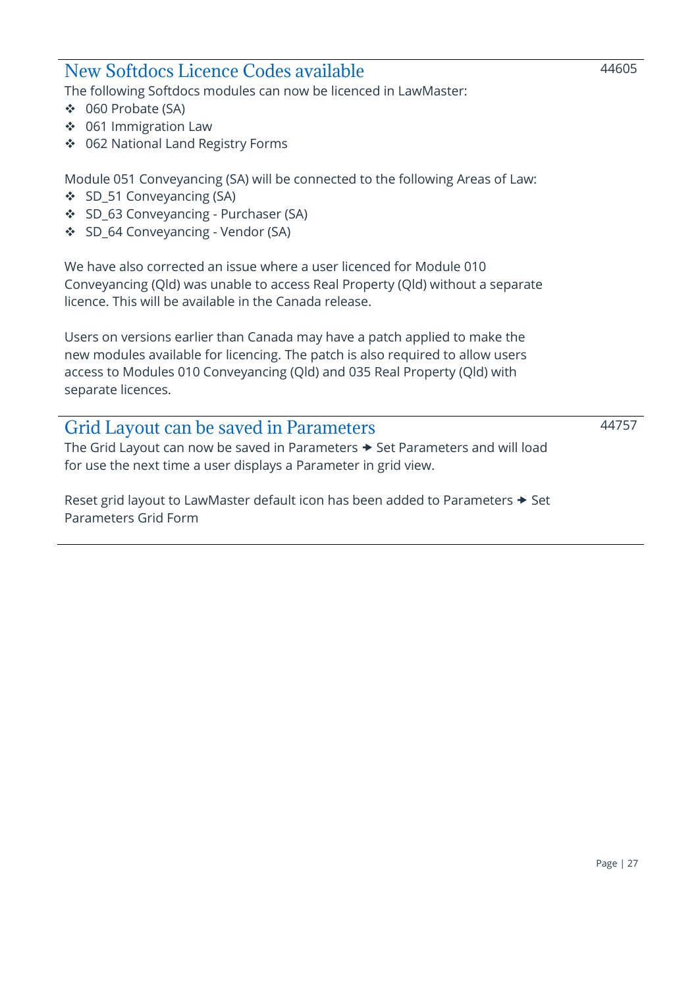### <span id="page-26-0"></span>New Softdocs Licence Codes available

The following Softdocs modules can now be licenced in LawMaster:

- ❖ 060 Probate (SA)
- ❖ 061 Immigration Law
- ❖ 062 National Land Registry Forms

Module 051 Conveyancing (SA) will be connected to the following Areas of Law:

- ❖ SD\_51 Conveyancing (SA)
- ❖ SD\_63 Conveyancing Purchaser (SA)
- ❖ SD\_64 Conveyancing Vendor (SA)

We have also corrected an issue where a user licenced for Module 010 Conveyancing (Qld) was unable to access Real Property (Qld) without a separate licence. This will be available in the Canada release.

Users on versions earlier than Canada may have a patch applied to make the new modules available for licencing. The patch is also required to allow users access to Modules 010 Conveyancing (Qld) and 035 Real Property (Qld) with separate licences.

# <span id="page-26-1"></span>Grid Layout can be saved in Parameters

The Grid Layout can now be saved in Parameters  $\rightarrow$  Set Parameters and will load for use the next time a user displays a Parameter in grid view.

Reset grid layout to LawMaster default icon has been added to Parameters  $\rightarrow$  Set Parameters Grid Form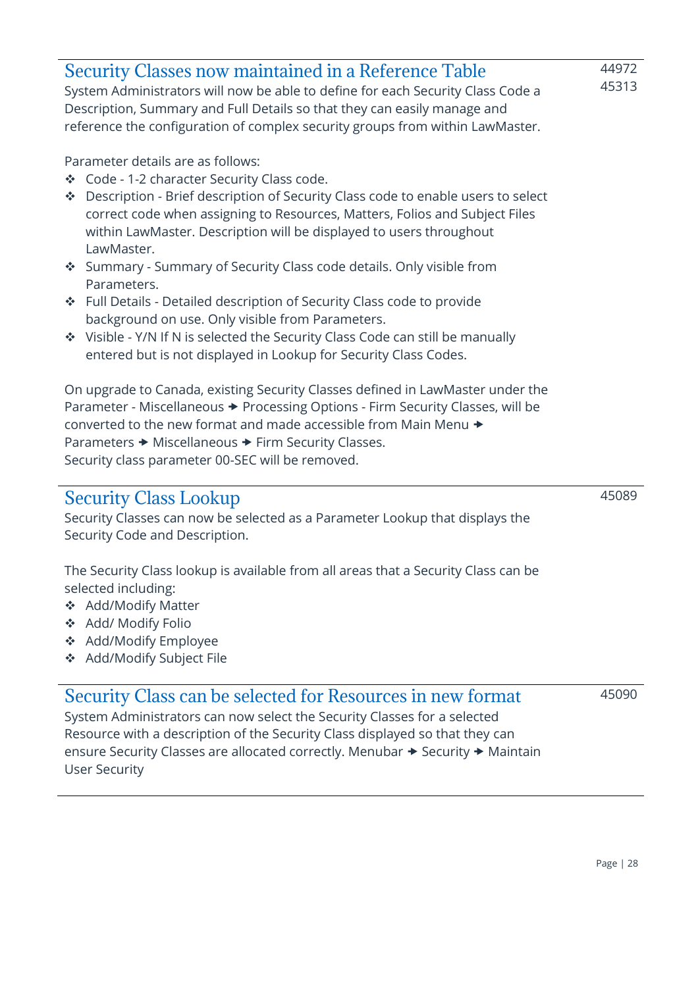<span id="page-27-2"></span><span id="page-27-1"></span><span id="page-27-0"></span>

| <b>Security Classes now maintained in a Reference Table</b><br>System Administrators will now be able to define for each Security Class Code a<br>Description, Summary and Full Details so that they can easily manage and<br>reference the configuration of complex security groups from within LawMaster.                                                                                                                         | 44972<br>45313 |
|-------------------------------------------------------------------------------------------------------------------------------------------------------------------------------------------------------------------------------------------------------------------------------------------------------------------------------------------------------------------------------------------------------------------------------------|----------------|
| Parameter details are as follows:<br>❖ Code - 1-2 character Security Class code.<br>Description - Brief description of Security Class code to enable users to select<br>榛<br>correct code when assigning to Resources, Matters, Folios and Subject Files<br>within LawMaster. Description will be displayed to users throughout<br>LawMaster.<br>Summary - Summary of Security Class code details. Only visible from<br>Parameters. |                |
| Full Details - Detailed description of Security Class code to provide<br>樂<br>background on use. Only visible from Parameters.<br>Visible - Y/N If N is selected the Security Class Code can still be manually<br>entered but is not displayed in Lookup for Security Class Codes.                                                                                                                                                  |                |
| On upgrade to Canada, existing Security Classes defined in LawMaster under the<br>Parameter - Miscellaneous → Processing Options - Firm Security Classes, will be<br>converted to the new format and made accessible from Main Menu →<br>Parameters → Miscellaneous → Firm Security Classes.<br>Security class parameter 00-SEC will be removed.                                                                                    |                |
| <b>Security Class Lookup</b><br>Security Classes can now be selected as a Parameter Lookup that displays the<br>Security Code and Description.                                                                                                                                                                                                                                                                                      | 45089          |
| The Security Class lookup is available from all areas that a Security Class can be<br>selected including:<br><b>Add/Modify Matter</b><br>榛<br>Add/ Modify Folio<br>❖<br>Add/Modify Employee<br>❖<br>Add/Modify Subject File<br>❖                                                                                                                                                                                                    |                |
| Security Class can be selected for Resources in new format<br>System Administrators can now select the Security Classes for a selected<br>Resource with a description of the Security Class displayed so that they can<br>ensure Security Classes are allocated correctly. Menubar → Security → Maintain<br><b>User Security</b>                                                                                                    | 45090          |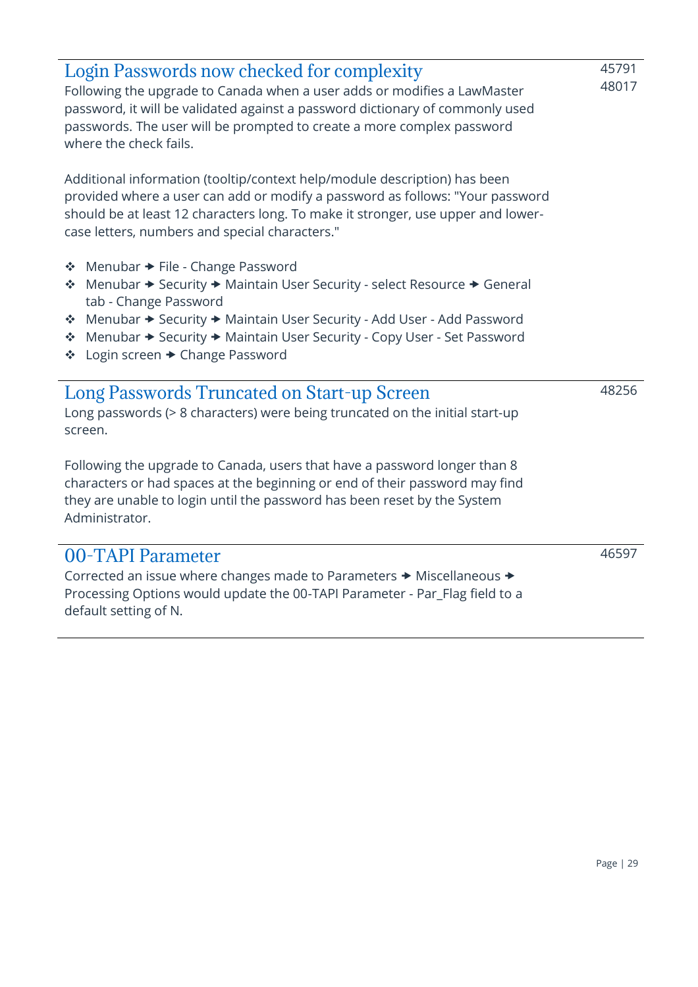<span id="page-28-2"></span><span id="page-28-1"></span><span id="page-28-0"></span>

| Login Passwords now checked for complexity<br>Following the upgrade to Canada when a user adds or modifies a LawMaster<br>password, it will be validated against a password dictionary of commonly used<br>passwords. The user will be prompted to create a more complex password<br>where the check fails.                                                  | 45791<br>48017 |
|--------------------------------------------------------------------------------------------------------------------------------------------------------------------------------------------------------------------------------------------------------------------------------------------------------------------------------------------------------------|----------------|
| Additional information (tooltip/context help/module description) has been<br>provided where a user can add or modify a password as follows: "Your password<br>should be at least 12 characters long. To make it stronger, use upper and lower-<br>case letters, numbers and special characters."                                                             |                |
| ❖ Menubar → File - Change Password<br>Menubar → Security → Maintain User Security - select Resource → General<br>-⊱<br>tab - Change Password<br>Menubar → Security → Maintain User Security - Add User - Add Password<br>參<br>Menubar → Security → Maintain User Security - Copy User - Set Password<br>$\frac{1}{2}$<br>Login screen → Change Password<br>榛 |                |
| <b>Long Passwords Truncated on Start-up Screen</b><br>Long passwords (> 8 characters) were being truncated on the initial start-up<br>screen.                                                                                                                                                                                                                | 48256          |
| Following the upgrade to Canada, users that have a password longer than 8<br>characters or had spaces at the beginning or end of their password may find<br>they are unable to login until the password has been reset by the System<br>Administrator.                                                                                                       |                |
| 00-TAPI Parameter<br>Corrected an issue where changes made to Parameters → Miscellaneous →<br>Processing Options would update the 00-TAPI Parameter - Par_Flag field to a<br>default setting of N.                                                                                                                                                           | 46597          |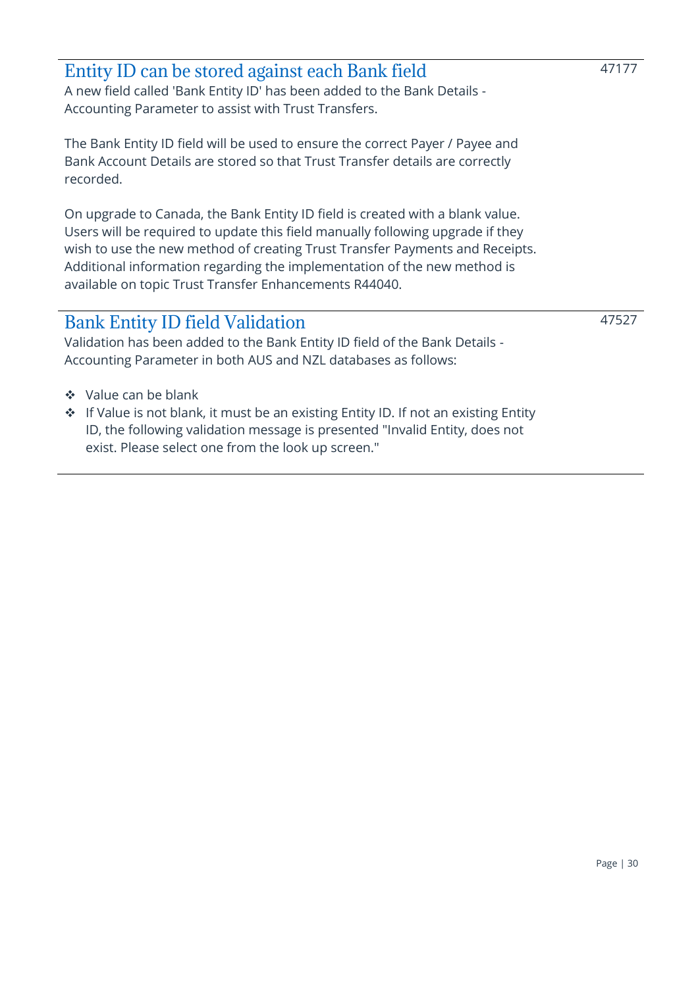<span id="page-29-0"></span>

| Entity ID can be stored against each Bank field                          |
|--------------------------------------------------------------------------|
| A new field called 'Bank Entity ID' has been added to the Bank Details - |
| Accounting Parameter to assist with Trust Transfers.                     |

The Bank Entity ID field will be used to ensure the correct Payer / Payee and Bank Account Details are stored so that Trust Transfer details are correctly recorded.

On upgrade to Canada, the Bank Entity ID field is created with a blank value. Users will be required to update this field manually following upgrade if they wish to use the new method of creating Trust Transfer Payments and Receipts. Additional information regarding the implementation of the new method is available on topic Trust Transfer Enhancements R44040.

### <span id="page-29-1"></span>Bank Entity ID field Validation

Validation has been added to the Bank Entity ID field of the Bank Details - Accounting Parameter in both AUS and NZL databases as follows:

- ❖ Value can be blank
- ❖ If Value is not blank, it must be an existing Entity ID. If not an existing Entity ID, the following validation message is presented "Invalid Entity, does not exist. Please select one from the look up screen."

47177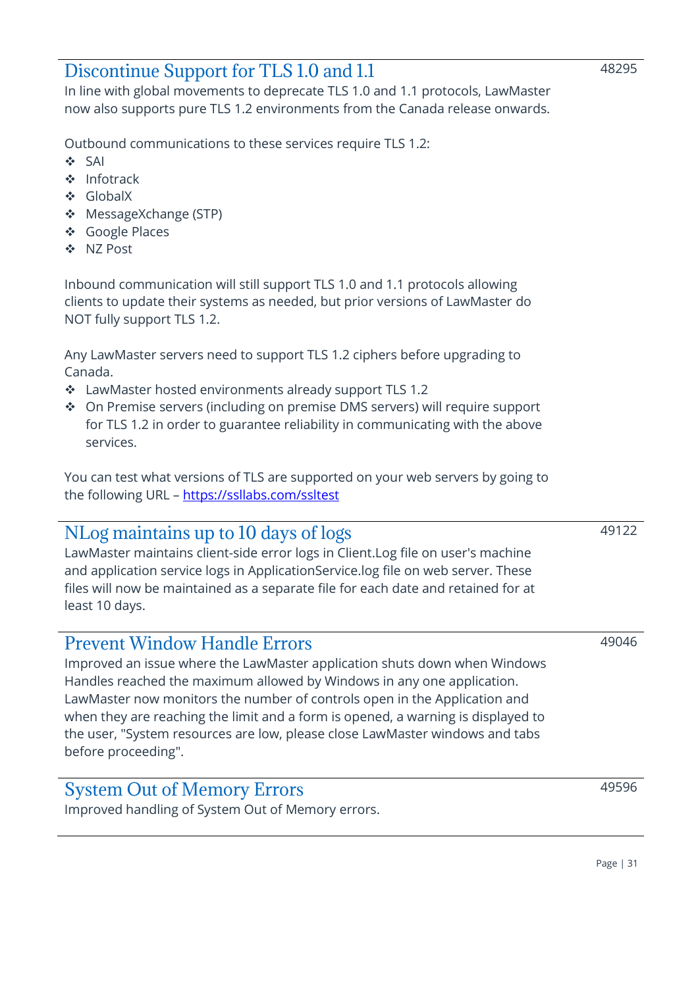### <span id="page-30-0"></span>Discontinue Support for TLS 1.0 and 1.1

In line with global movements to deprecate TLS 1.0 and 1.1 protocols, LawMaster now also supports pure TLS 1.2 environments from the Canada release onwards.

Outbound communications to these services require TLS 1.2:

- ❖ SAI
- ❖ Infotrack
- ❖ GlobalX
- ❖ MessageXchange (STP)
- ❖ Google Places
- ❖ NZ Post

Inbound communication will still support TLS 1.0 and 1.1 protocols allowing clients to update their systems as needed, but prior versions of LawMaster do NOT fully support TLS 1.2.

Any LawMaster servers need to support TLS 1.2 ciphers before upgrading to Canada.

- ❖ LawMaster hosted environments already support TLS 1.2
- ❖ On Premise servers (including on premise DMS servers) will require support for TLS 1.2 in order to guarantee reliability in communicating with the above services.

You can test what versions of TLS are supported on your web servers by going to the following URL - <https://ssllabs.com/ssltest>

### <span id="page-30-1"></span>NLog maintains up to 10 days of logs

LawMaster maintains client-side error logs in Client.Log file on user's machine and application service logs in ApplicationService.log file on web server. These files will now be maintained as a separate file for each date and retained for at least 10 days.

### <span id="page-30-2"></span>Prevent Window Handle Errors

Improved an issue where the LawMaster application shuts down when Windows Handles reached the maximum allowed by Windows in any one application. LawMaster now monitors the number of controls open in the Application and when they are reaching the limit and a form is opened, a warning is displayed to the user, "System resources are low, please close LawMaster windows and tabs before proceeding".

### <span id="page-30-3"></span>System Out of Memory Errors

Improved handling of System Out of Memory errors.

49046

49122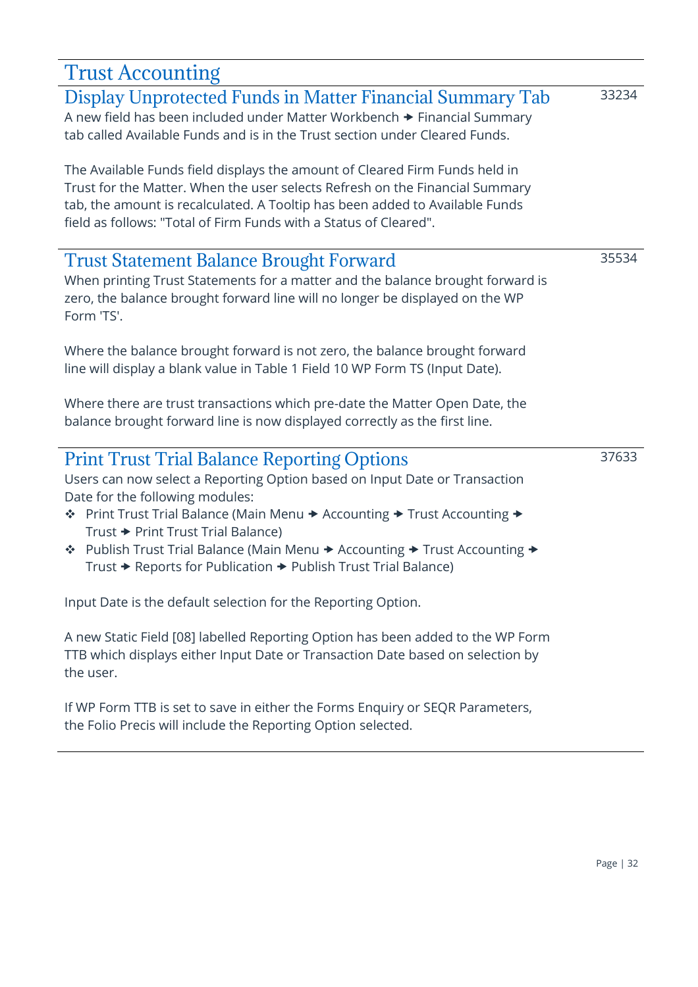<span id="page-31-3"></span><span id="page-31-2"></span><span id="page-31-1"></span><span id="page-31-0"></span>

| <b>Trust Accounting</b>                                                                                                                                                                                                                                                                                                                                                                                                                                           |       |
|-------------------------------------------------------------------------------------------------------------------------------------------------------------------------------------------------------------------------------------------------------------------------------------------------------------------------------------------------------------------------------------------------------------------------------------------------------------------|-------|
| Display Unprotected Funds in Matter Financial Summary Tab<br>A new field has been included under Matter Workbench > Financial Summary<br>tab called Available Funds and is in the Trust section under Cleared Funds.                                                                                                                                                                                                                                              | 33234 |
| The Available Funds field displays the amount of Cleared Firm Funds held in<br>Trust for the Matter. When the user selects Refresh on the Financial Summary<br>tab, the amount is recalculated. A Tooltip has been added to Available Funds<br>field as follows: "Total of Firm Funds with a Status of Cleared".                                                                                                                                                  |       |
| <b>Trust Statement Balance Brought Forward</b><br>When printing Trust Statements for a matter and the balance brought forward is<br>zero, the balance brought forward line will no longer be displayed on the WP<br>Form 'TS'.                                                                                                                                                                                                                                    | 35534 |
| Where the balance brought forward is not zero, the balance brought forward<br>line will display a blank value in Table 1 Field 10 WP Form TS (Input Date).                                                                                                                                                                                                                                                                                                        |       |
| Where there are trust transactions which pre-date the Matter Open Date, the<br>balance brought forward line is now displayed correctly as the first line.                                                                                                                                                                                                                                                                                                         |       |
| <b>Print Trust Trial Balance Reporting Options</b><br>Users can now select a Reporting Option based on Input Date or Transaction<br>Date for the following modules:<br>La Print Trust Trial Balance (Main Menu → Accounting → Trust Accounting →<br>Trust → Print Trust Trial Balance)<br>Publish Trust Trial Balance (Main Menu → Accounting → Trust Accounting →<br>參<br>Trust $\rightarrow$ Reports for Publication $\rightarrow$ Publish Trust Trial Balance) | 37633 |
| Input Date is the default selection for the Reporting Option.                                                                                                                                                                                                                                                                                                                                                                                                     |       |
| A new Static Field [08] labelled Reporting Option has been added to the WP Form<br>TTB which displays either Input Date or Transaction Date based on selection by<br>the user.                                                                                                                                                                                                                                                                                    |       |
| If WP Form TTB is set to save in either the Forms Enquiry or SEQR Parameters,<br>the Folio Precis will include the Reporting Option selected.                                                                                                                                                                                                                                                                                                                     |       |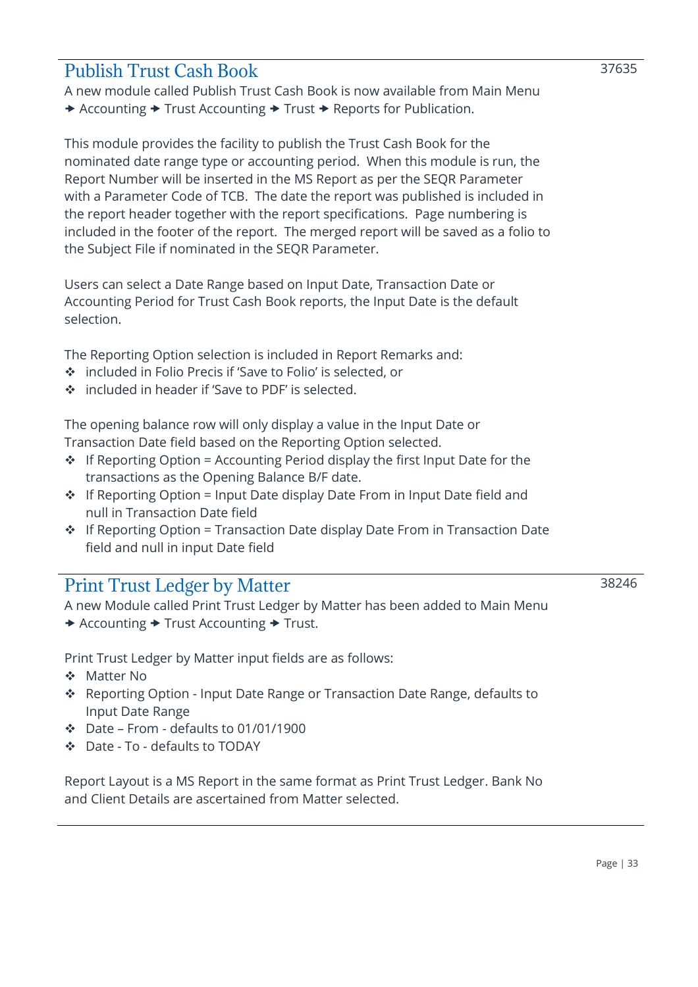### <span id="page-32-0"></span>Publish Trust Cash Book

A new module called Publish Trust Cash Book is now available from Main Menu → Accounting → Trust Accounting → Trust → Reports for Publication.

This module provides the facility to publish the Trust Cash Book for the nominated date range type or accounting period. When this module is run, the Report Number will be inserted in the MS Report as per the SEQR Parameter with a Parameter Code of TCB. The date the report was published is included in the report header together with the report specifications. Page numbering is included in the footer of the report. The merged report will be saved as a folio to the Subject File if nominated in the SEQR Parameter.

Users can select a Date Range based on Input Date, Transaction Date or Accounting Period for Trust Cash Book reports, the Input Date is the default selection.

The Reporting Option selection is included in Report Remarks and:

- ❖ included in Folio Precis if 'Save to Folio' is selected, or
- ❖ included in header if 'Save to PDF' is selected.

The opening balance row will only display a value in the Input Date or Transaction Date field based on the Reporting Option selected.

- $\cdot \cdot$  If Reporting Option = Accounting Period display the first Input Date for the transactions as the Opening Balance B/F date.
- ❖ If Reporting Option = Input Date display Date From in Input Date field and null in Transaction Date field
- ❖ If Reporting Option = Transaction Date display Date From in Transaction Date field and null in input Date field

### <span id="page-32-1"></span>Print Trust Ledger by Matter

A new Module called Print Trust Ledger by Matter has been added to Main Menu  $\rightarrow$  Accounting  $\rightarrow$  Trust Accounting  $\rightarrow$  Trust.

Print Trust Ledger by Matter input fields are as follows:

- ❖ Matter No
- ❖ Reporting Option Input Date Range or Transaction Date Range, defaults to Input Date Range
- ❖ Date From defaults to 01/01/1900
- ❖ Date To defaults to TODAY

Report Layout is a MS Report in the same format as Print Trust Ledger. Bank No and Client Details are ascertained from Matter selected.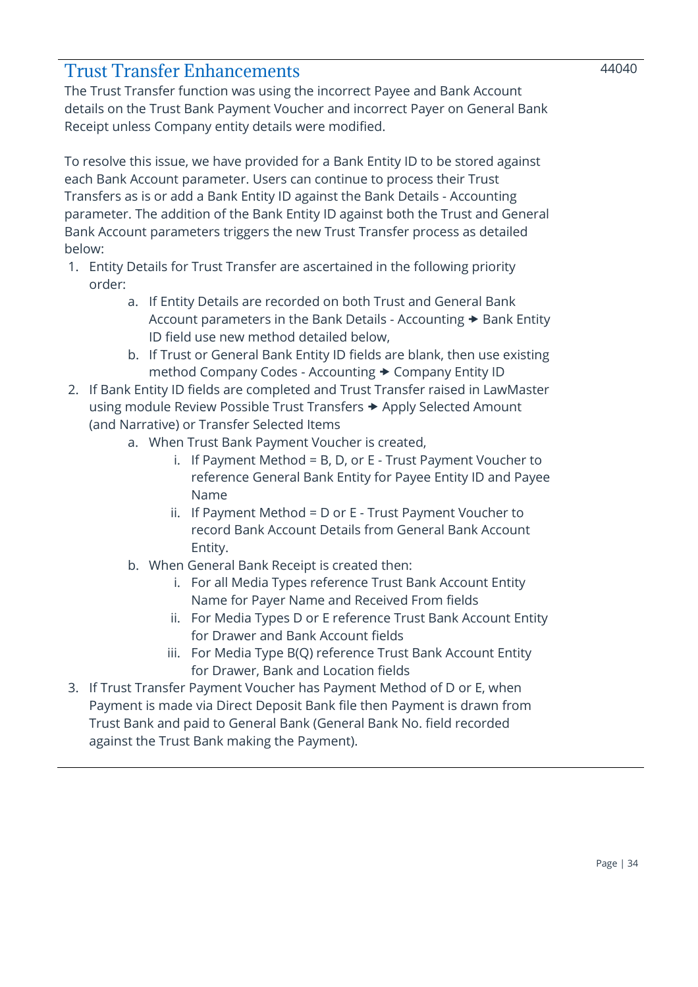### <span id="page-33-0"></span>Trust Transfer Enhancements

The Trust Transfer function was using the incorrect Payee and Bank Account details on the Trust Bank Payment Voucher and incorrect Payer on General Bank Receipt unless Company entity details were modified.

To resolve this issue, we have provided for a Bank Entity ID to be stored against each Bank Account parameter. Users can continue to process their Trust Transfers as is or add a Bank Entity ID against the Bank Details - Accounting parameter. The addition of the Bank Entity ID against both the Trust and General Bank Account parameters triggers the new Trust Transfer process as detailed below:

- 1. Entity Details for Trust Transfer are ascertained in the following priority order:
	- a. If Entity Details are recorded on both Trust and General Bank Account parameters in the Bank Details - Accounting  $\rightarrow$  Bank Entity ID field use new method detailed below,
	- b. If Trust or General Bank Entity ID fields are blank, then use existing method Company Codes - Accounting  $\rightarrow$  Company Entity ID
- 2. If Bank Entity ID fields are completed and Trust Transfer raised in LawMaster using module Review Possible Trust Transfers  $\rightarrow$  Apply Selected Amount (and Narrative) or Transfer Selected Items
	- a. When Trust Bank Payment Voucher is created,
		- i. If Payment Method = B, D, or E Trust Payment Voucher to reference General Bank Entity for Payee Entity ID and Payee Name
		- ii. If Payment Method = D or E Trust Payment Voucher to record Bank Account Details from General Bank Account Entity.
	- b. When General Bank Receipt is created then:
		- i. For all Media Types reference Trust Bank Account Entity Name for Payer Name and Received From fields
		- ii. For Media Types D or E reference Trust Bank Account Entity for Drawer and Bank Account fields
		- iii. For Media Type B(Q) reference Trust Bank Account Entity for Drawer, Bank and Location fields
- 3. If Trust Transfer Payment Voucher has Payment Method of D or E, when Payment is made via Direct Deposit Bank file then Payment is drawn from Trust Bank and paid to General Bank (General Bank No. field recorded against the Trust Bank making the Payment).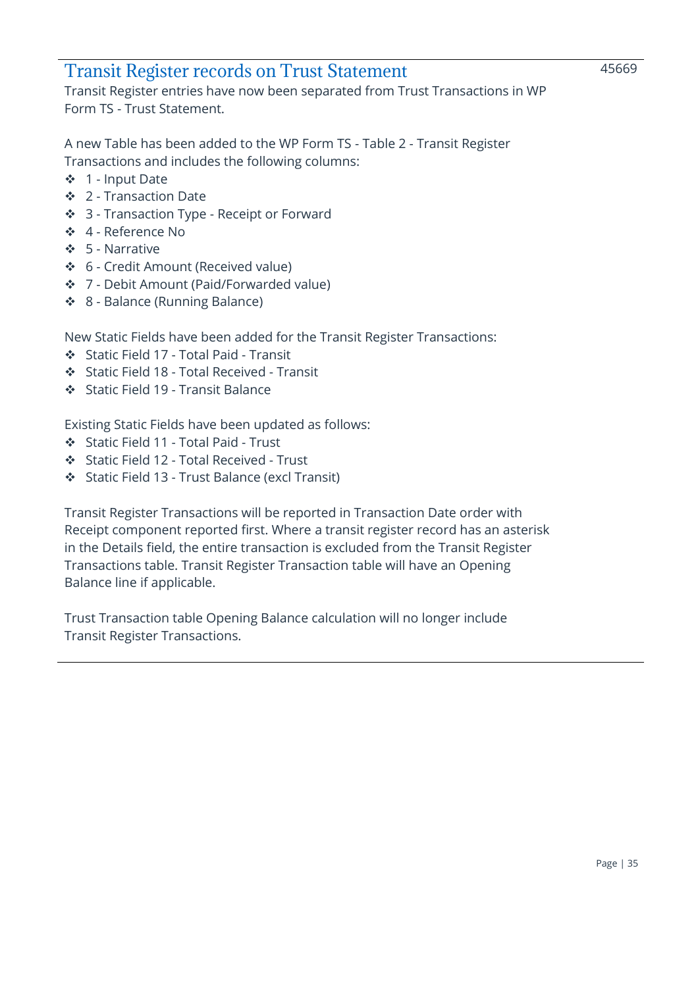### <span id="page-34-0"></span>Transit Register records on Trust Statement

Transit Register entries have now been separated from Trust Transactions in WP Form TS - Trust Statement.

A new Table has been added to the WP Form TS - Table 2 - Transit Register Transactions and includes the following columns:

- ❖ 1 Input Date
- ❖ 2 Transaction Date
- ❖ 3 Transaction Type Receipt or Forward
- ❖ 4 Reference No
- ❖ 5 Narrative
- ❖ 6 Credit Amount (Received value)
- ❖ 7 Debit Amount (Paid/Forwarded value)
- ❖ 8 Balance (Running Balance)

New Static Fields have been added for the Transit Register Transactions:

- ❖ Static Field 17 Total Paid Transit
- ❖ Static Field 18 Total Received Transit
- ❖ Static Field 19 Transit Balance

Existing Static Fields have been updated as follows:

- ❖ Static Field 11 Total Paid Trust
- ❖ Static Field 12 Total Received Trust
- ❖ Static Field 13 Trust Balance (excl Transit)

Transit Register Transactions will be reported in Transaction Date order with Receipt component reported first. Where a transit register record has an asterisk in the Details field, the entire transaction is excluded from the Transit Register Transactions table. Transit Register Transaction table will have an Opening Balance line if applicable.

Trust Transaction table Opening Balance calculation will no longer include Transit Register Transactions.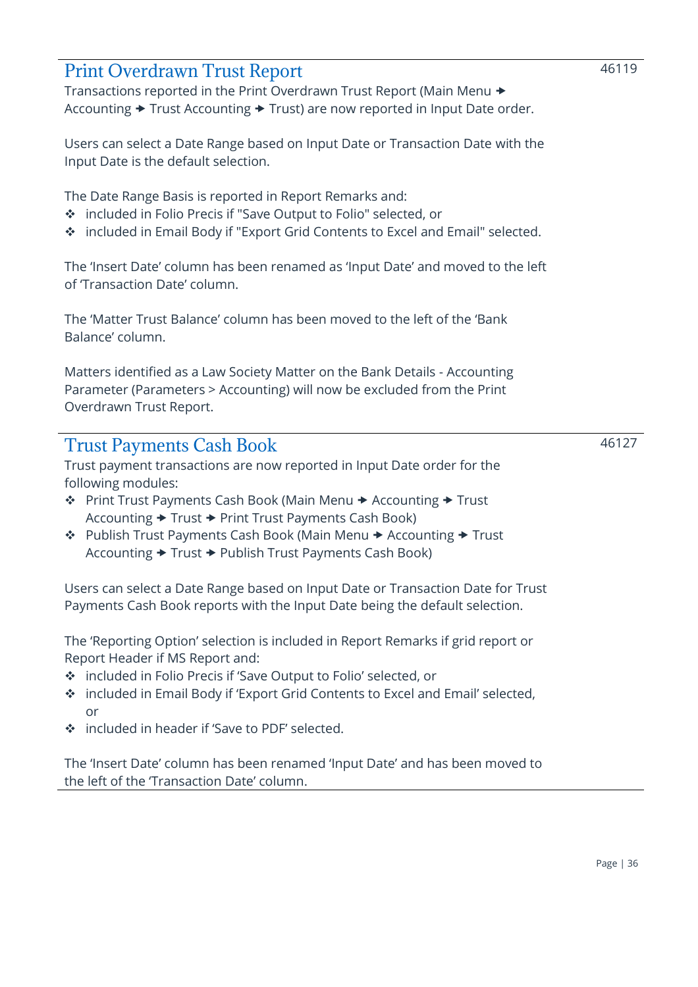### <span id="page-35-0"></span>Print Overdrawn Trust Report

Transactions reported in the Print Overdrawn Trust Report (Main Menu Accounting  $\rightarrow$  Trust Accounting  $\rightarrow$  Trust) are now reported in Input Date order.

Users can select a Date Range based on Input Date or Transaction Date with the Input Date is the default selection.

The Date Range Basis is reported in Report Remarks and:

- ❖ included in Folio Precis if "Save Output to Folio" selected, or
- ❖ included in Email Body if "Export Grid Contents to Excel and Email" selected.

The 'Insert Date' column has been renamed as 'Input Date' and moved to the left of 'Transaction Date' column.

The 'Matter Trust Balance' column has been moved to the left of the 'Bank Balance' column.

Matters identified as a Law Society Matter on the Bank Details - Accounting Parameter (Parameters > Accounting) will now be excluded from the Print Overdrawn Trust Report.

### <span id="page-35-1"></span>Trust Payments Cash Book

Trust payment transactions are now reported in Input Date order for the following modules:

- ❖ Print Trust Payments Cash Book (Main Menu Accounting Trust Accounting  $\rightarrow$  Trust  $\rightarrow$  Print Trust Payments Cash Book)
- ❖ Publish Trust Payments Cash Book (Main Menu Accounting Trust Accounting  $\rightarrow$  Trust  $\rightarrow$  Publish Trust Payments Cash Book)

Users can select a Date Range based on Input Date or Transaction Date for Trust Payments Cash Book reports with the Input Date being the default selection.

The 'Reporting Option' selection is included in Report Remarks if grid report or Report Header if MS Report and:

- ❖ included in Folio Precis if 'Save Output to Folio' selected, or
- ❖ included in Email Body if 'Export Grid Contents to Excel and Email' selected, or
- ❖ included in header if 'Save to PDF' selected.

The 'Insert Date' column has been renamed 'Input Date' and has been moved to the left of the 'Transaction Date' column.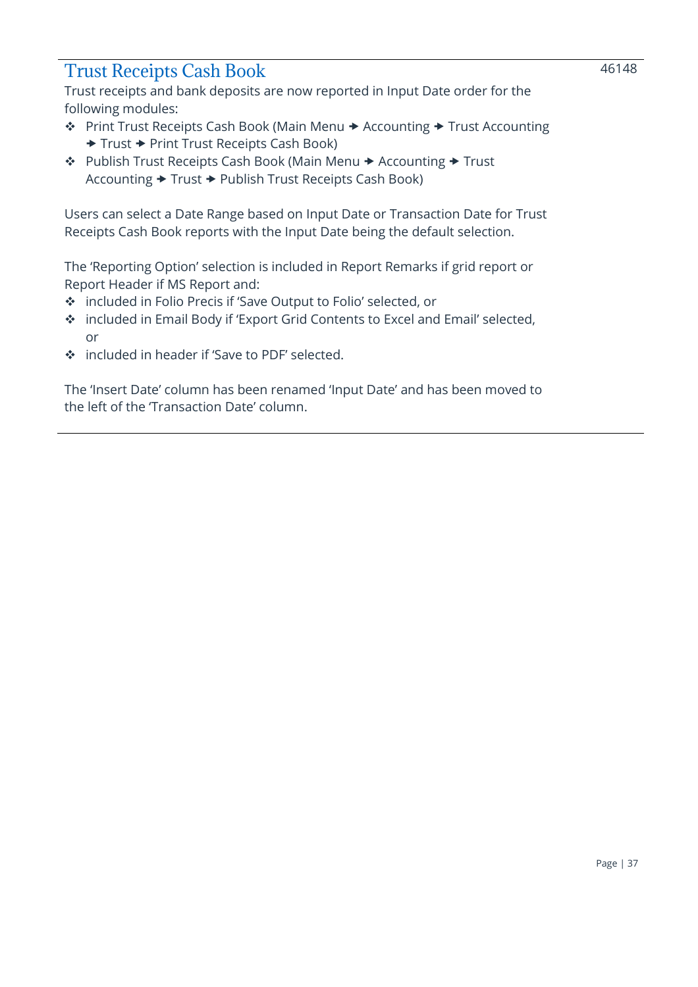### <span id="page-36-0"></span>Trust Receipts Cash Book

Trust receipts and bank deposits are now reported in Input Date order for the following modules:

- ❖ Print Trust Receipts Cash Book (Main Menu Accounting Trust Accounting ◆ Trust → Print Trust Receipts Cash Book)
- ❖ Publish Trust Receipts Cash Book (Main Menu Accounting Trust Accounting  $\rightarrow$  Trust  $\rightarrow$  Publish Trust Receipts Cash Book)

Users can select a Date Range based on Input Date or Transaction Date for Trust Receipts Cash Book reports with the Input Date being the default selection.

The 'Reporting Option' selection is included in Report Remarks if grid report or Report Header if MS Report and:

- ❖ included in Folio Precis if 'Save Output to Folio' selected, or
- ❖ included in Email Body if 'Export Grid Contents to Excel and Email' selected, or
- ❖ included in header if 'Save to PDF' selected.

The 'Insert Date' column has been renamed 'Input Date' and has been moved to the left of the 'Transaction Date' column.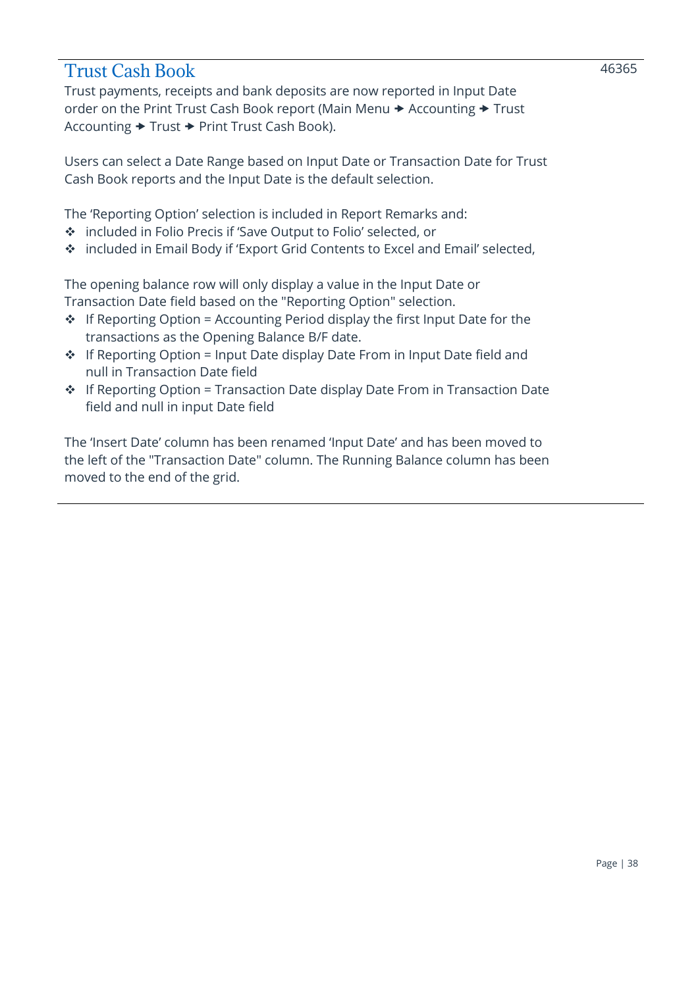### <span id="page-37-0"></span>Trust Cash Book

Trust payments, receipts and bank deposits are now reported in Input Date order on the Print Trust Cash Book report (Main Menu  $\rightarrow$  Accounting  $\rightarrow$  Trust Accounting  $\rightarrow$  Trust  $\rightarrow$  Print Trust Cash Book).

Users can select a Date Range based on Input Date or Transaction Date for Trust Cash Book reports and the Input Date is the default selection.

The 'Reporting Option' selection is included in Report Remarks and:

- ❖ included in Folio Precis if 'Save Output to Folio' selected, or
- ❖ included in Email Body if 'Export Grid Contents to Excel and Email' selected,

The opening balance row will only display a value in the Input Date or Transaction Date field based on the "Reporting Option" selection.

- $\div$  If Reporting Option = Accounting Period display the first Input Date for the transactions as the Opening Balance B/F date.
- ❖ If Reporting Option = Input Date display Date From in Input Date field and null in Transaction Date field
- ❖ If Reporting Option = Transaction Date display Date From in Transaction Date field and null in input Date field

The 'Insert Date' column has been renamed 'Input Date' and has been moved to the left of the "Transaction Date" column. The Running Balance column has been moved to the end of the grid.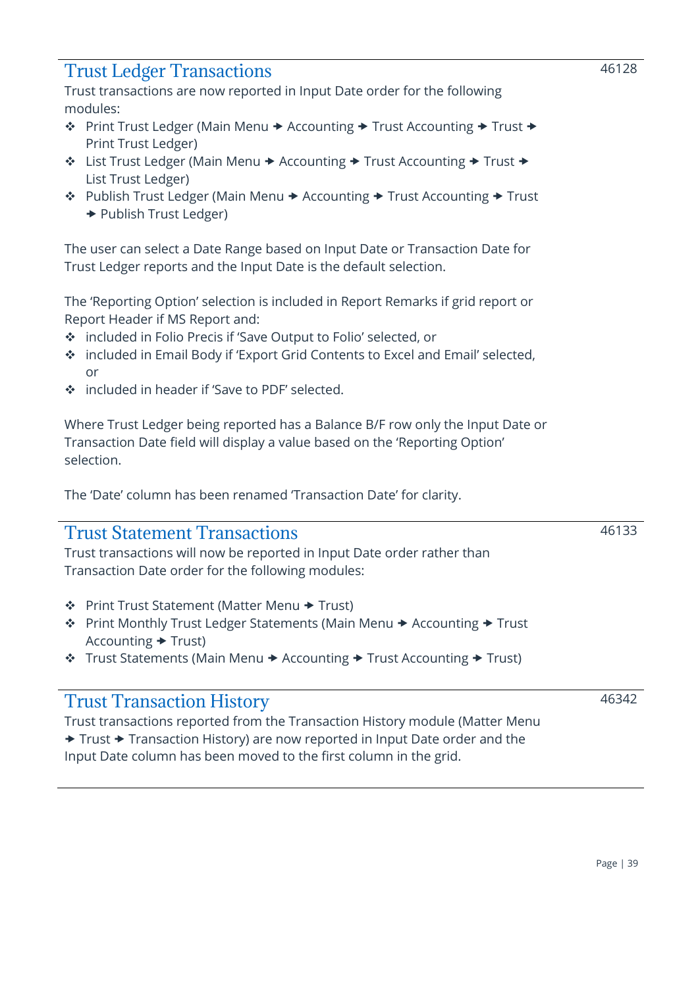### <span id="page-38-0"></span>Trust Ledger Transactions

Trust transactions are now reported in Input Date order for the following modules:

- ❖ Print Trust Ledger (Main Menu → Accounting → Trust Accounting → Trust → Print Trust Ledger)
- ❖ List Trust Ledger (Main Menu → Accounting → Trust Accounting → Trust → List Trust Ledger)
- ◆ Publish Trust Ledger (Main Menu → Accounting → Trust Accounting → Trust **→ Publish Trust Ledger)**

The user can select a Date Range based on Input Date or Transaction Date for Trust Ledger reports and the Input Date is the default selection.

The 'Reporting Option' selection is included in Report Remarks if grid report or Report Header if MS Report and:

- ❖ included in Folio Precis if 'Save Output to Folio' selected, or
- ❖ included in Email Body if 'Export Grid Contents to Excel and Email' selected, or
- ❖ included in header if 'Save to PDF' selected.

Where Trust Ledger being reported has a Balance B/F row only the Input Date or Transaction Date field will display a value based on the 'Reporting Option' selection.

The 'Date' column has been renamed 'Transaction Date' for clarity.

### <span id="page-38-1"></span>Trust Statement Transactions

Trust transactions will now be reported in Input Date order rather than Transaction Date order for the following modules:

- ❖ Print Trust Statement (Matter Menu Trust)
- ❖ Print Monthly Trust Ledger Statements (Main Menu Accounting Trust Accounting  $\rightarrow$  Trust)
- $\dots$  Trust Statements (Main Menu  $\rightarrow$  Accounting  $\rightarrow$  Trust Accounting  $\rightarrow$  Trust)

### <span id="page-38-2"></span>Trust Transaction History

Trust transactions reported from the Transaction History module (Matter Menu ◆ Trust → Transaction History) are now reported in Input Date order and the Input Date column has been moved to the first column in the grid.

46133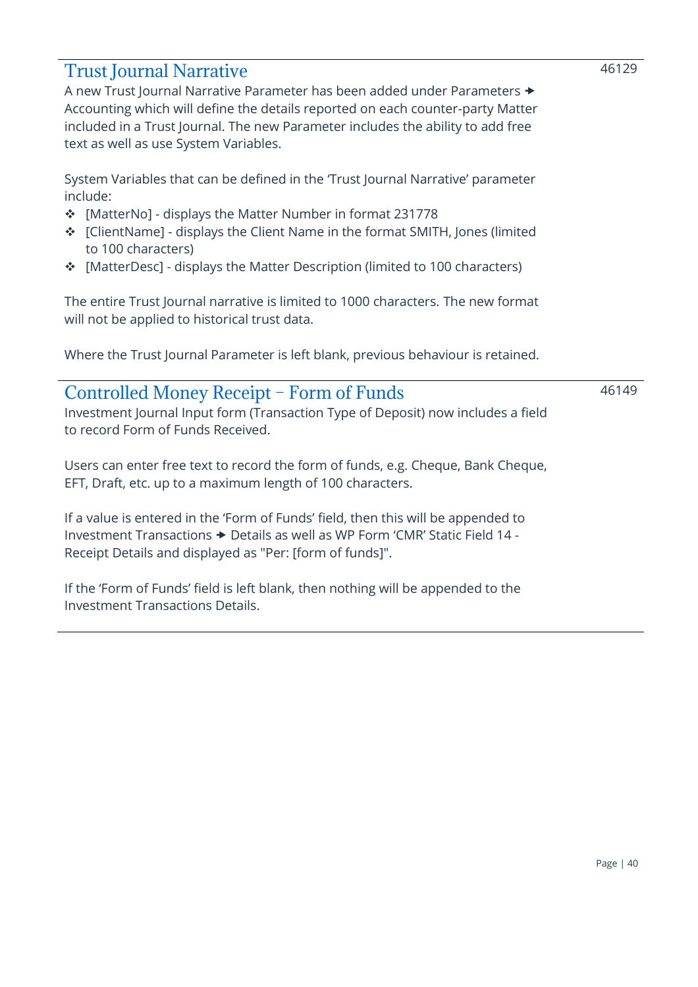### <span id="page-39-0"></span>Trust Journal Narrative

A new Trust Journal Narrative Parameter has been added under Parameters Accounting which will define the details reported on each counter-party Matter included in a Trust Journal. The new Parameter includes the ability to add free text as well as use System Variables.

System Variables that can be defined in the 'Trust Journal Narrative' parameter include:

- ❖ [MatterNo] displays the Matter Number in format 231778
- ❖ [ClientName] displays the Client Name in the format SMITH, Jones (limited to 100 characters)
- ❖ [MatterDesc] displays the Matter Description (limited to 100 characters)

The entire Trust Journal narrative is limited to 1000 characters. The new format will not be applied to historical trust data.

Where the Trust Journal Parameter is left blank, previous behaviour is retained.

### <span id="page-39-1"></span>Controlled Money Receipt – Form of Funds Investment Journal Input form (Transaction Type of Deposit) now includes a field to record Form of Funds Received. 46149

Users can enter free text to record the form of funds, e.g. Cheque, Bank Cheque, EFT, Draft, etc. up to a maximum length of 100 characters.

If a value is entered in the 'Form of Funds' field, then this will be appended to Investment Transactions  $\rightarrow$  Details as well as WP Form 'CMR' Static Field 14 -Receipt Details and displayed as "Per: [form of funds]".

If the 'Form of Funds' field is left blank, then nothing will be appended to the Investment Transactions Details.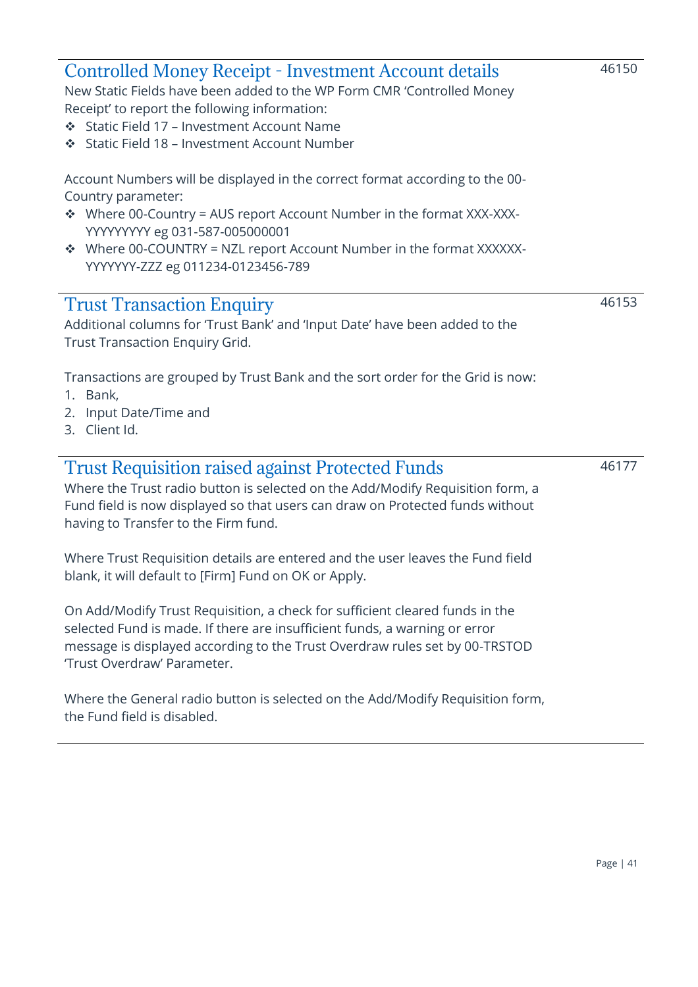<span id="page-40-0"></span>

| <b>Controlled Money Receipt - Investment Account details</b><br>New Static Fields have been added to the WP Form CMR 'Controlled Money<br>Receipt' to report the following information:<br>❖ Static Field 17 – Investment Account Name<br>❖ Static Field 18 - Investment Account Number                                    | 46150 |
|----------------------------------------------------------------------------------------------------------------------------------------------------------------------------------------------------------------------------------------------------------------------------------------------------------------------------|-------|
| Account Numbers will be displayed in the correct format according to the 00-<br>Country parameter:<br>❖ Where 00-Country = AUS report Account Number in the format XXX-XXX-<br>YYYYYYYYY eg 031-587-005000001<br>❖ Where 00-COUNTRY = NZL report Account Number in the format XXXXXX-<br>YYYYYYY-ZZZ eg 011234-0123456-789 |       |
| <b>Trust Transaction Enquiry</b><br>Additional columns for 'Trust Bank' and 'Input Date' have been added to the<br><b>Trust Transaction Enquiry Grid.</b>                                                                                                                                                                  | 46153 |
| Transactions are grouped by Trust Bank and the sort order for the Grid is now:<br>1. Bank,<br>2. Input Date/Time and<br>3. Client Id.                                                                                                                                                                                      |       |
| <b>Trust Requisition raised against Protected Funds</b><br>Where the Trust radio button is selected on the Add/Modify Requisition form, a<br>Fund field is now displayed so that users can draw on Protected funds without<br>having to Transfer to the Firm fund.                                                         | 46177 |
| Where Trust Requisition details are entered and the user leaves the Fund field<br>blank, it will default to [Firm] Fund on OK or Apply.                                                                                                                                                                                    |       |

On Add/Modify Trust Requisition, a check for sufficient cleared funds in the selected Fund is made. If there are insufficient funds, a warning or error message is displayed according to the Trust Overdraw rules set by 00-TRSTOD 'Trust Overdraw' Parameter.

<span id="page-40-2"></span><span id="page-40-1"></span>Ĭ.

Where the General radio button is selected on the Add/Modify Requisition form, the Fund field is disabled.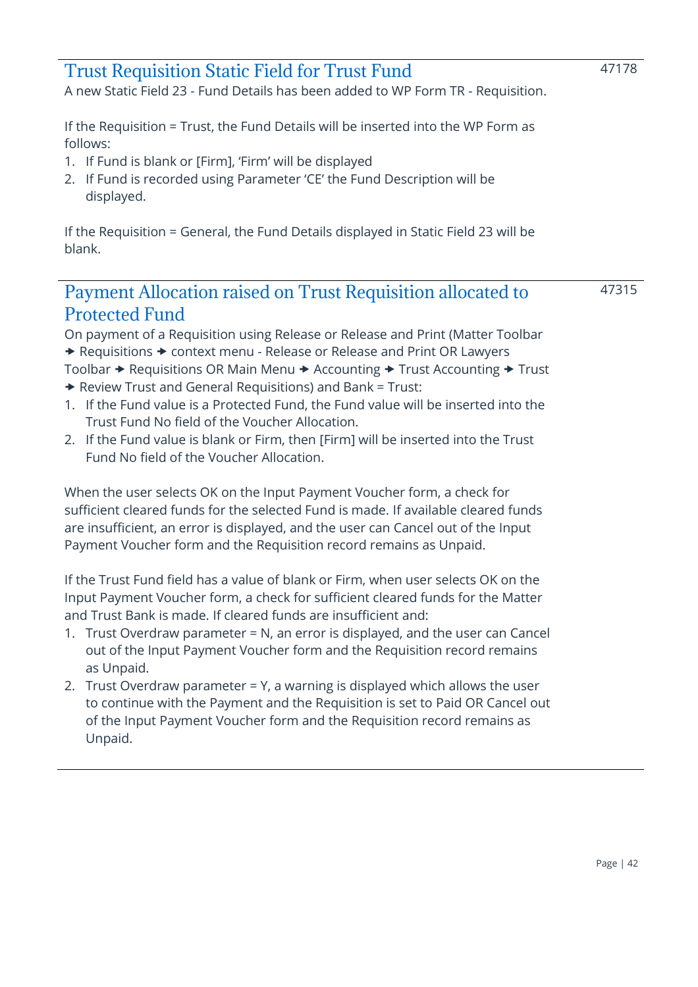<span id="page-41-0"></span>

| <b>Trust Requisition Static Field for Trust Fund</b><br>A new Static Field 23 - Fund Details has been added to WP Form TR - Requisition.                                                                                             | 47178 |
|--------------------------------------------------------------------------------------------------------------------------------------------------------------------------------------------------------------------------------------|-------|
| If the Requisition = Trust, the Fund Details will be inserted into the WP Form as<br>follows:<br>1. If Fund is blank or [Firm], 'Firm' will be displayed<br>2. If Fund is recorded using Parameter 'CE' the Fund Description will be |       |
| displayed.<br>If the Requisition = General, the Fund Details displayed in Static Field 23 will be<br>blank.                                                                                                                          |       |
|                                                                                                                                                                                                                                      |       |

### <span id="page-41-1"></span>Payment Allocation raised on Trust Requisition allocated to Protected Fund

47315

On payment of a Requisition using Release or Release and Print (Matter Toolbar ◆ Requisitions → context menu - Release or Release and Print OR Lawyers Toolbar  $\rightarrow$  Requisitions OR Main Menu  $\rightarrow$  Accounting  $\rightarrow$  Trust Accounting  $\rightarrow$  Trust

- $\rightarrow$  Review Trust and General Requisitions) and Bank = Trust:
- 1. If the Fund value is a Protected Fund, the Fund value will be inserted into the Trust Fund No field of the Voucher Allocation.
- 2. If the Fund value is blank or Firm, then [Firm] will be inserted into the Trust Fund No field of the Voucher Allocation.

When the user selects OK on the Input Payment Voucher form, a check for sufficient cleared funds for the selected Fund is made. If available cleared funds are insufficient, an error is displayed, and the user can Cancel out of the Input Payment Voucher form and the Requisition record remains as Unpaid.

If the Trust Fund field has a value of blank or Firm, when user selects OK on the Input Payment Voucher form, a check for sufficient cleared funds for the Matter and Trust Bank is made. If cleared funds are insufficient and:

- 1. Trust Overdraw parameter = N, an error is displayed, and the user can Cancel out of the Input Payment Voucher form and the Requisition record remains as Unpaid.
- 2. Trust Overdraw parameter = Y, a warning is displayed which allows the user to continue with the Payment and the Requisition is set to Paid OR Cancel out of the Input Payment Voucher form and the Requisition record remains as Unpaid.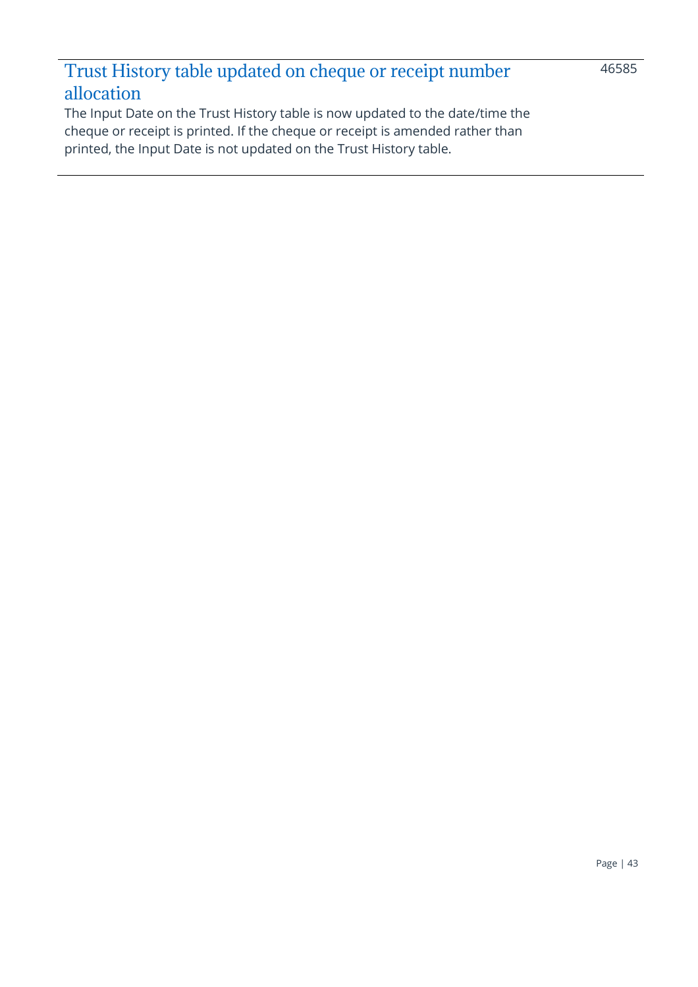# <span id="page-42-0"></span>Trust History table updated on cheque or receipt number allocation

The Input Date on the Trust History table is now updated to the date/time the cheque or receipt is printed. If the cheque or receipt is amended rather than printed, the Input Date is not updated on the Trust History table.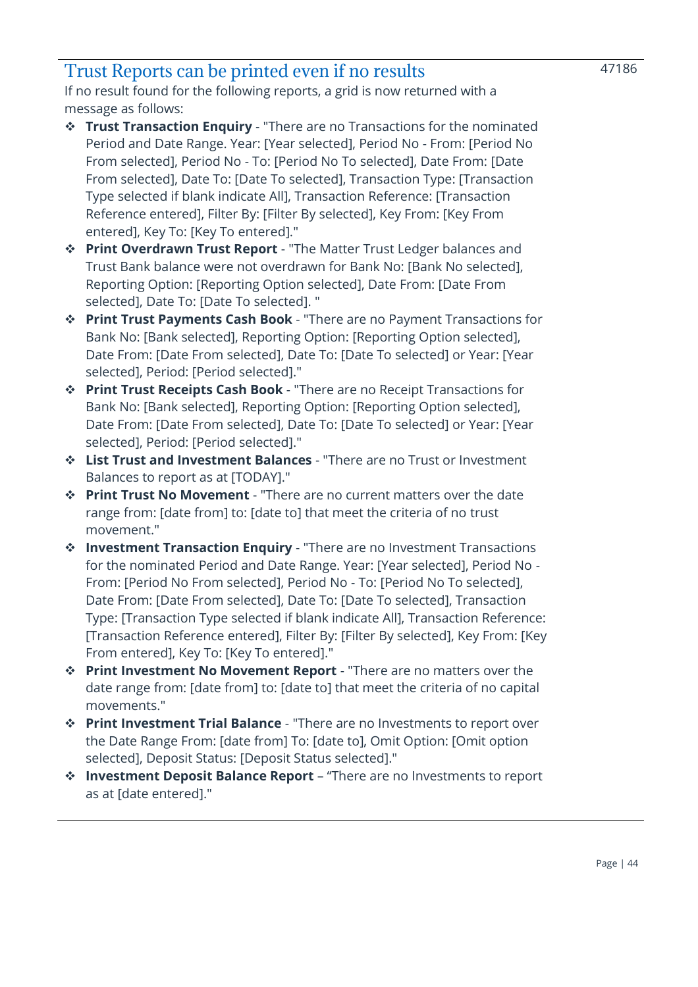### <span id="page-43-0"></span>Trust Reports can be printed even if no results

If no result found for the following reports, a grid is now returned with a message as follows:

- ❖ **Trust Transaction Enquiry** "There are no Transactions for the nominated Period and Date Range. Year: [Year selected], Period No - From: [Period No From selected], Period No - To: [Period No To selected], Date From: [Date From selected], Date To: [Date To selected], Transaction Type: [Transaction Type selected if blank indicate All], Transaction Reference: [Transaction Reference entered], Filter By: [Filter By selected], Key From: [Key From entered], Key To: [Key To entered]."
- ❖ **Print Overdrawn Trust Report** "The Matter Trust Ledger balances and Trust Bank balance were not overdrawn for Bank No: [Bank No selected], Reporting Option: [Reporting Option selected], Date From: [Date From selected], Date To: [Date To selected]. "
- ❖ **Print Trust Payments Cash Book** "There are no Payment Transactions for Bank No: [Bank selected], Reporting Option: [Reporting Option selected], Date From: [Date From selected], Date To: [Date To selected] or Year: [Year selected], Period: [Period selected]."
- ❖ **Print Trust Receipts Cash Book** "There are no Receipt Transactions for Bank No: [Bank selected], Reporting Option: [Reporting Option selected], Date From: [Date From selected], Date To: [Date To selected] or Year: [Year selected], Period: [Period selected]."
- ❖ **List Trust and Investment Balances** "There are no Trust or Investment Balances to report as at [TODAY]."
- ❖ **Print Trust No Movement** "There are no current matters over the date range from: [date from] to: [date to] that meet the criteria of no trust movement."
- ❖ **Investment Transaction Enquiry** "There are no Investment Transactions for the nominated Period and Date Range. Year: [Year selected], Period No - From: [Period No From selected], Period No - To: [Period No To selected], Date From: [Date From selected], Date To: [Date To selected], Transaction Type: [Transaction Type selected if blank indicate All], Transaction Reference: [Transaction Reference entered], Filter By: [Filter By selected], Key From: [Key From entered], Key To: [Key To entered]."
- ❖ **Print Investment No Movement Report** "There are no matters over the date range from: [date from] to: [date to] that meet the criteria of no capital movements."
- ❖ **Print Investment Trial Balance** "There are no Investments to report over the Date Range From: [date from] To: [date to], Omit Option: [Omit option selected], Deposit Status: [Deposit Status selected]."
- ❖ **Investment Deposit Balance Report** "There are no Investments to report as at [date entered]."